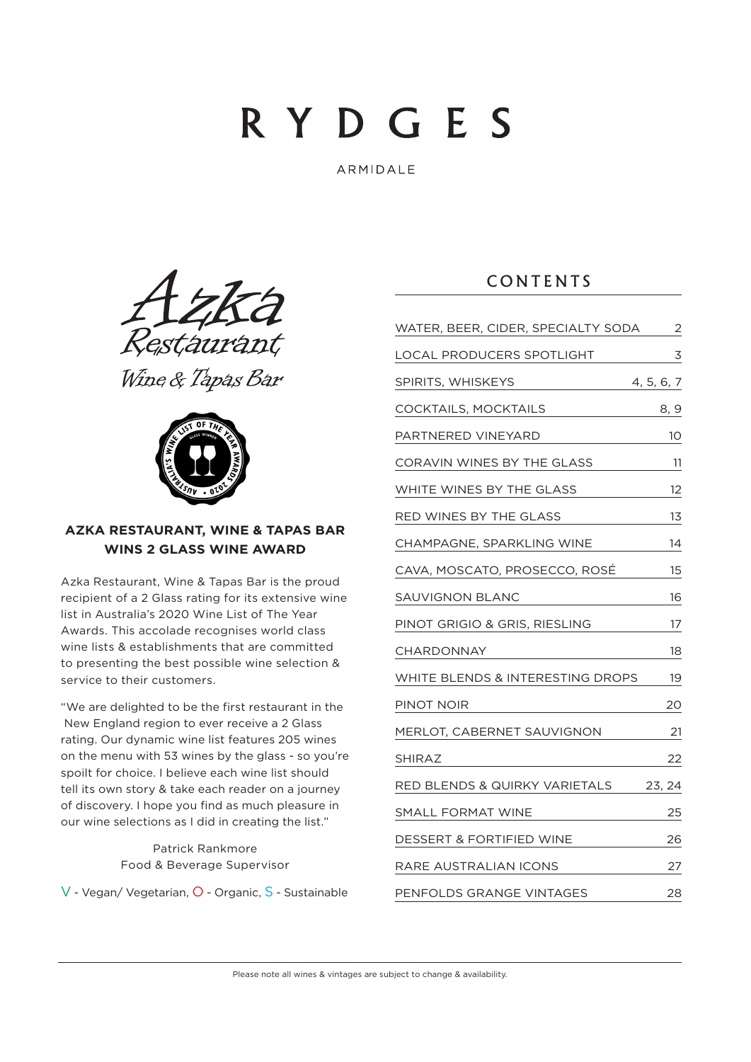# RYDGES

**ARMIDALE** 





### **AZKA RESTAURANT, WINE & TAPAS BAR WINS 2 GLASS WINE AWARD**

Azka Restaurant, Wine & Tapas Bar is the proud recipient of a 2 Glass rating for its extensive wine list in Australia's 2020 Wine List of The Year Awards. This accolade recognises world class wine lists & establishments that are committed to presenting the best possible wine selection & service to their customers.

"We are delighted to be the first restaurant in the New England region to ever receive a 2 Glass rating. Our dynamic wine list features 205 wines on the menu with 53 wines by the glass - so you're spoilt for choice. I believe each wine list should tell its own story & take each reader on a journey of discovery. I hope you find as much pleasure in our wine selections as I did in creating the list."

> Patrick Rankmore Food & Beverage Supervisor

V - Vegan/ Vegetarian, O - Organic, S - Sustainable

# CONTENTS

| WATER, BEER, CIDER, SPECIALTY SODA | 2          |
|------------------------------------|------------|
| LOCAL PRODUCERS SPOTLIGHT          | 3          |
| SPIRITS, WHISKEYS                  | 4, 5, 6, 7 |
| COCKTAILS, MOCKTAILS               | 8, 9       |
| PARTNERED VINEYARD                 | 10         |
| CORAVIN WINES BY THE GLASS         | 11         |
| WHITE WINES BY THE GLASS           | 12         |
| RED WINES BY THE GLASS             | 13         |
| <b>CHAMPAGNE, SPARKLING WINE</b>   | 14         |
| CAVA, MOSCATO, PROSECCO, ROSÉ      | 15         |
| SAUVIGNON BLANC                    | 16         |
| PINOT GRIGIO & GRIS, RIESLING      | 17         |
| CHARDONNAY                         | 18         |
| WHITE BLENDS & INTERESTING DROPS   | 19         |
| PINOT NOIR                         | 20         |
| MERLOT, CABERNET SAUVIGNON         | 21         |
| SHIRAZ                             | 22         |
| RED BLENDS & QUIRKY VARIETALS      | 23, 24     |
| SMALL FORMAT WINE                  | 25         |
| DESSERT & FORTIFIED WINE           | 26         |
| RARE AUSTRALIAN ICONS              | 27         |
| PENFOLDS GRANGE VINTAGES           | 28         |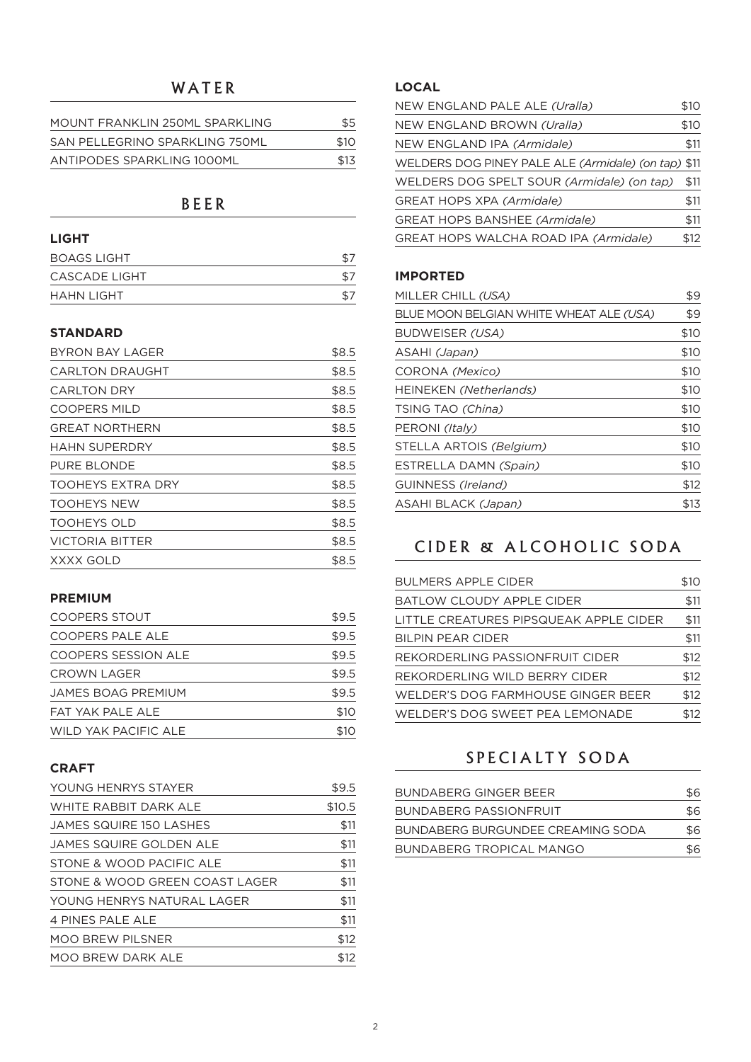### **WATER**

| MOUNT FRANKLIN 250ML SPARKLING | \$5  |
|--------------------------------|------|
| SAN PELLEGRINO SPARKLING 750ML | \$10 |
| ANTIPODES SPARKLING 1000ML     | \$13 |

### BEER

| <b>LIGHT</b>       |  |
|--------------------|--|
| <b>BOAGS LIGHT</b> |  |
| CASCADE LIGHT      |  |
| <b>HAHN LIGHT</b>  |  |

#### **STANDARD**

| <b>CARLTON DRAUGHT</b><br><b>CARLTON DRY</b><br><b>COOPERS MILD</b><br><b>GREAT NORTHERN</b><br><b>HAHN SUPERDRY</b><br><b>PURE BLONDE</b><br><b>TOOHEYS EXTRA DRY</b><br><b>TOOHEYS NEW</b><br><b>TOOHEYS OLD</b> | <b>BYRON BAY LAGER</b> | \$8.5 |
|--------------------------------------------------------------------------------------------------------------------------------------------------------------------------------------------------------------------|------------------------|-------|
|                                                                                                                                                                                                                    |                        | \$8.5 |
|                                                                                                                                                                                                                    |                        | \$8.5 |
|                                                                                                                                                                                                                    |                        | \$8.5 |
|                                                                                                                                                                                                                    |                        | \$8.5 |
|                                                                                                                                                                                                                    |                        | \$8.5 |
|                                                                                                                                                                                                                    |                        | \$8.5 |
|                                                                                                                                                                                                                    |                        | \$8.5 |
|                                                                                                                                                                                                                    |                        | \$8.5 |
|                                                                                                                                                                                                                    |                        | \$8.5 |
| <b>VICTORIA BITTER</b>                                                                                                                                                                                             |                        | \$8.5 |
| XXXX GOLD                                                                                                                                                                                                          |                        | \$8.5 |

### **PREMIUM**

| <b>COOPERS STOUT</b>      | \$9.5 |
|---------------------------|-------|
| <b>COOPERS PALE ALE</b>   | \$9.5 |
| COOPERS SESSION ALE       | \$9.5 |
| <b>CROWN LAGER</b>        | \$9.5 |
| <b>JAMES BOAG PREMIUM</b> | \$9.5 |
| FAT YAK PAI F AI F        | \$10  |
| WILD YAK PACIFIC ALE      | \$10  |

### **CRAFT**

| YOUNG HENRYS STAYER            | \$9.5  |
|--------------------------------|--------|
| WHITE RABBIT DARK ALF          | \$10.5 |
| JAMES SQUIRE 150 LASHES        | \$11   |
| JAMES SQUIRE GOLDEN ALE        | \$11   |
| STONE & WOOD PACIFIC ALE       | \$11   |
| STONE & WOOD GREEN COAST LAGER | \$11   |
| YOUNG HENRYS NATURAL LAGER     | \$11   |
| 4 PINES PALE ALE               | \$11   |
| <b>MOO BREW PILSNER</b>        | \$12   |
| MOO BREW DARK ALE              | \$12   |

### **LOCAL**

| NEW ENGLAND PALE ALE (Uralla)                       | \$10 |
|-----------------------------------------------------|------|
| NEW ENGLAND BROWN (Uralla)                          | \$10 |
| NEW ENGLAND IPA (Armidale)                          | \$11 |
| WELDERS DOG PINEY PALE ALE (Armidale) (on tap) \$11 |      |
| WELDERS DOG SPELT SOUR (Armidale) (on tap)          | \$11 |
| <b>GREAT HOPS XPA (Armidale)</b>                    | \$11 |
| <b>GREAT HOPS BANSHEE (Armidale)</b>                | \$11 |
| GREAT HOPS WALCHA ROAD IPA (Armidale)               | \$12 |

#### **IMPORTED**

| MILLER CHILL (USA)                      | \$9  |
|-----------------------------------------|------|
| BLUE MOON BELGIAN WHITE WHEAT ALE (USA) | \$9  |
| BUDWEISER (USA)                         | \$10 |
| ASAHI (Japan)                           | \$10 |
| CORONA (Mexico)                         | \$10 |
| <b>HEINEKEN (Netherlands)</b>           | \$10 |
| TSING TAO (China)                       | \$10 |
| PERONI (Italy)                          | \$10 |
| STELLA ARTOIS (Belgium)                 | \$10 |
| ESTRELLA DAMN (Spain)                   | \$10 |
| GUINNESS (Ireland)                      | \$12 |
| ASAHI BLACK (Japan)                     | \$13 |

# CIDER & ALCOHOLIC SODA

| <b>BULMERS APPLE CIDER</b>             | \$10 |
|----------------------------------------|------|
| BATLOW CLOUDY APPLE CIDER              | \$11 |
| LITTLE CREATURES PIPSQUEAK APPLE CIDER | \$11 |
| <b>BILPIN PEAR CIDER</b>               | \$11 |
| REKORDERLING PASSIONFRUIT CIDER        | \$12 |
| REKORDERLING WILD BERRY CIDER          | \$12 |
| WELDER'S DOG FARMHOUSE GINGER BEER     | \$12 |
| WELDER'S DOG SWEET PEA LEMONADE        | \$12 |
|                                        |      |

# SPECIALTY SODA

| BUNDABERG GINGER BEER             |     |
|-----------------------------------|-----|
| BUNDABERG PASSIONFRUIT            | \$6 |
| BUNDABERG BURGUNDEE CREAMING SODA | \$6 |
| BUNDABERG TROPICAL MANGO          | \$6 |
|                                   |     |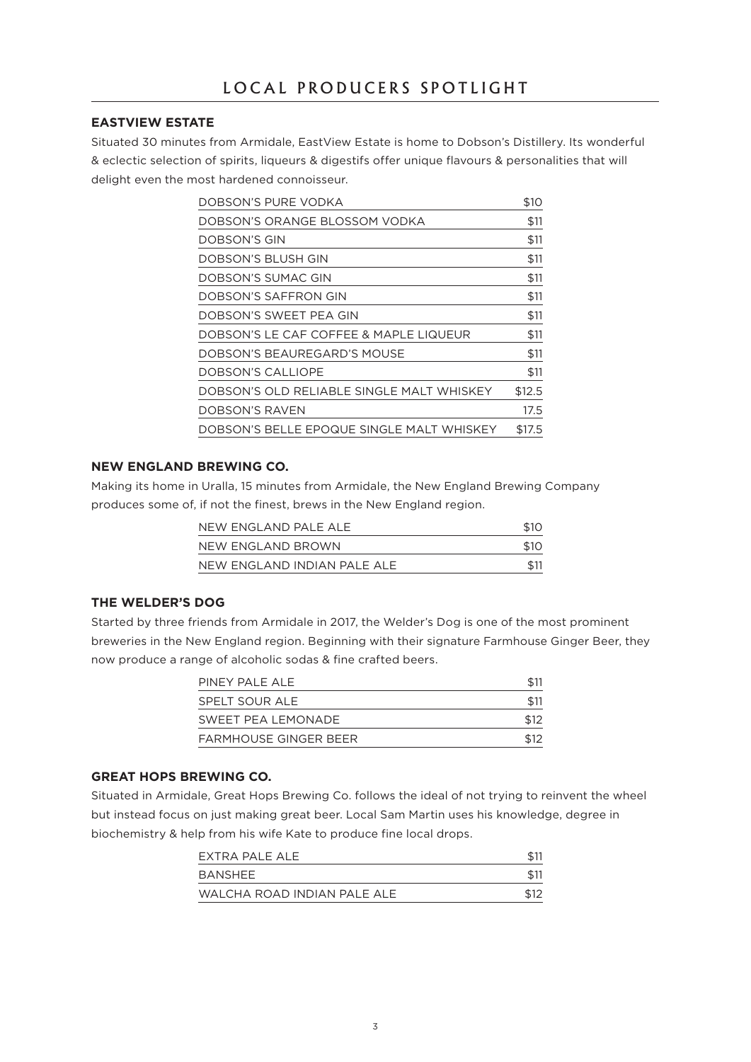### **EASTVIEW ESTATE**

Situated 30 minutes from Armidale, EastView Estate is home to Dobson's Distillery. Its wonderful & eclectic selection of spirits, liqueurs & digestifs offer unique flavours & personalities that will delight even the most hardened connoisseur.

| DOBSON'S PURE VODKA                       | \$10   |
|-------------------------------------------|--------|
| DOBSON'S ORANGE BLOSSOM VODKA             | \$11   |
| DOBSON'S GIN                              | \$11   |
| DOBSON'S BLUSH GIN                        | \$11   |
| DOBSON'S SUMAC GIN                        | \$11   |
| DOBSON'S SAFFRON GIN                      | \$11   |
| DOBSON'S SWEET PEA GIN                    | \$11   |
| DOBSON'S LE CAF COFFEE & MAPLE LIQUEUR    | \$11   |
| DOBSON'S BEAUREGARD'S MOUSE               | \$11   |
| DOBSON'S CALLIOPE                         | \$11   |
| DOBSON'S OLD RELIABLE SINGLE MALT WHISKEY | \$12.5 |
| DOBSON'S RAVEN                            | 17.5   |
| DOBSON'S BELLE EPOQUE SINGLE MALT WHISKEY | \$17.5 |

### **NEW ENGLAND BREWING CO.**

Making its home in Uralla, 15 minutes from Armidale, the New England Brewing Company produces some of, if not the finest, brews in the New England region.

| NEW ENGLAND PALE ALE        |            |
|-----------------------------|------------|
| NEW ENGLAND BROWN           | <b>S10</b> |
| NEW FNGLAND INDIAN PALE ALE |            |

#### **THE WELDER'S DOG**

Started by three friends from Armidale in 2017, the Welder's Dog is one of the most prominent breweries in the New England region. Beginning with their signature Farmhouse Ginger Beer, they now produce a range of alcoholic sodas & fine crafted beers.

| PINEY PAI F AI F             |      |
|------------------------------|------|
| SPELT SOUR ALE               |      |
| SWEET PEA LEMONADE           | \$12 |
| <b>FARMHOUSE GINGER BEER</b> |      |

#### **GREAT HOPS BREWING CO.**

Situated in Armidale, Great Hops Brewing Co. follows the ideal of not trying to reinvent the wheel but instead focus on just making great beer. Local Sam Martin uses his knowledge, degree in biochemistry & help from his wife Kate to produce fine local drops.

| EXTRA PALE ALE              |  |
|-----------------------------|--|
| BANSHEE                     |  |
| WALCHA ROAD INDIAN PALE ALE |  |
|                             |  |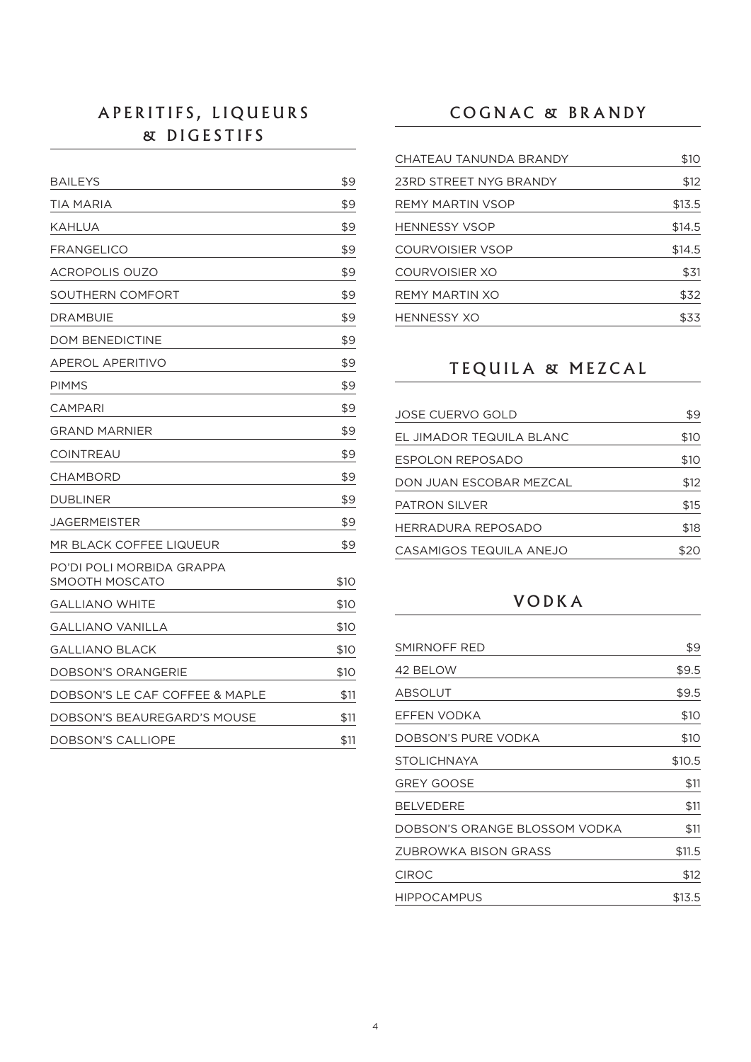# A P E R I T I F S, L I Q U E U R S & DIGESTIFS

| <b>BAILEYS</b>                              | \$9  |
|---------------------------------------------|------|
| TIA MARIA                                   | \$9  |
| KAHLUA                                      | \$9  |
| FRANGELICO                                  | \$9  |
| <b>ACROPOLIS OUZO</b>                       | \$9  |
| SOUTHERN COMFORT                            | \$9  |
| <b>DRAMBUIE</b>                             | \$9  |
| <b>DOM BENEDICTINE</b>                      | \$9  |
| <b>APEROL APERITIVO</b>                     | \$9  |
| PIMMS                                       | \$9  |
| CAMPARI                                     | \$9  |
| <b>GRAND MARNIER</b>                        | \$9  |
| COINTREAU                                   | \$9  |
| CHAMBORD                                    | \$9  |
| <b>DUBLINER</b>                             | \$9  |
| <b>JAGERMEISTER</b>                         | \$9  |
| MR BLACK COFFEE LIQUEUR                     | \$9  |
| PO'DI POLI MORBIDA GRAPPA<br>SMOOTH MOSCATO | \$10 |
| GALLIANO WHITE                              | \$10 |
| <b>GALLIANO VANILLA</b>                     | \$10 |
| <b>GALLIANO BLACK</b>                       | \$10 |
| DOBSON'S ORANGERIE                          | \$10 |
| DOBSON'S LE CAF COFFEE & MAPLE              | \$11 |
| DOBSON'S BEAUREGARD'S MOUSE                 | \$11 |
| DOBSON'S CALLIOPE                           | \$11 |

# COGNAC & BRANDY

| CHATEAU TANUNDA BRANDY  | \$10   |
|-------------------------|--------|
| 23RD STREET NYG BRANDY  | \$12   |
| <b>REMY MARTIN VSOP</b> | \$13.5 |
| <b>HENNESSY VSOP</b>    | \$14.5 |
| <b>COURVOISIER VSOP</b> | \$14.5 |
| COURVOISIER XO          | \$31   |
| REMY MARTIN XO          | \$32   |
| <b>HENNESSY XO</b>      | \$33   |

# TEQUILA & MEZCAL

| <b>JOSE CUERVO GOLD</b>  | \$9  |
|--------------------------|------|
| EL JIMADOR TEQUILA BLANC | \$10 |
| ESPOLON REPOSADO         | \$10 |
| DON JUAN ESCOBAR MEZCAL  | \$12 |
| <b>PATRON SILVER</b>     | \$15 |
| HERRADURA REPOSADO       | \$18 |
| CASAMIGOS TEQUILA ANEJO  | \$20 |

# VODKA

| SMIRNOFF RED                  | \$9    |
|-------------------------------|--------|
| 42 BELOW                      | \$9.5  |
| <b>ABSOLUT</b>                | \$9.5  |
| EFFEN VODKA                   | \$10   |
| DOBSON'S PURE VODKA           | \$10   |
| STOLICHNAYA                   | \$10.5 |
| <b>GREY GOOSE</b>             | \$11   |
| <b>BELVEDERE</b>              | \$11   |
| DOBSON'S ORANGE BLOSSOM VODKA | \$11   |
| ZUBROWKA BISON GRASS          | \$11.5 |
| CIROC                         | \$12   |
| <b>HIPPOCAMPUS</b>            | \$13.5 |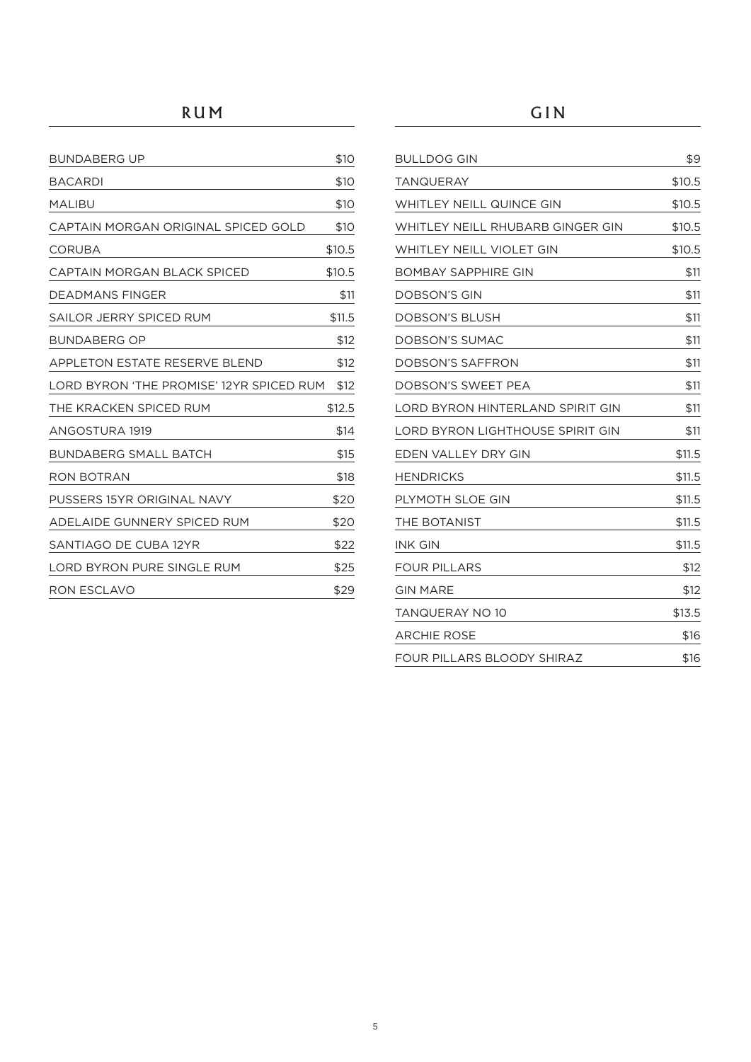# RUM

| <b>BUNDABERG UP</b>                      | \$10   |
|------------------------------------------|--------|
| <b>BACARDI</b>                           | \$10   |
| <b>MALIBU</b>                            | \$10   |
| CAPTAIN MORGAN ORIGINAL SPICED GOLD      | \$10   |
| CORUBA                                   | \$10.5 |
| CAPTAIN MORGAN BLACK SPICED              | \$10.5 |
| <b>DEADMANS FINGER</b>                   | \$11   |
| SAILOR JERRY SPICED RUM                  | \$11.5 |
| <b>BUNDABERG OP</b>                      | \$12   |
| <b>APPLETON ESTATE RESERVE BLEND</b>     | \$12   |
| LORD BYRON 'THE PROMISE' 12YR SPICED RUM | \$12   |
| THE KRACKEN SPICED RUM                   | \$12.5 |
| ANGOSTURA 1919                           | \$14   |
| <b>BUNDABERG SMALL BATCH</b>             | \$15   |
| <b>RON BOTRAN</b>                        | \$18   |
| PUSSERS 15YR ORIGINAL NAVY               | \$20   |
|                                          |        |
| ADELAIDE GUNNERY SPICED RUM              | \$20   |
| SANTIAGO DE CUBA 12YR                    | \$22   |
| LORD BYRON PURE SINGLE RUM               | \$25   |

| <b>BULLDOG GIN</b>                | \$9    |
|-----------------------------------|--------|
| <b>TANQUERAY</b>                  | \$10.5 |
| <b>WHITLEY NEILL QUINCE GIN</b>   | \$10.5 |
| WHITLEY NEILL RHUBARB GINGER GIN  | \$10.5 |
| <b>WHITLEY NEILL VIOLET GIN</b>   | \$10.5 |
| <b>BOMBAY SAPPHIRE GIN</b>        | \$11   |
| DOBSON'S GIN                      | \$11   |
| DOBSON'S BLUSH                    | \$11   |
| DOBSON'S SUMAC                    | \$11   |
| <b>DOBSON'S SAFFRON</b>           | \$11   |
| DOBSON'S SWEET PEA                | \$11   |
| LORD BYRON HINTERLAND SPIRIT GIN  | \$11   |
| LORD BYRON LIGHTHOUSE SPIRIT GIN  | \$11   |
| EDEN VALLEY DRY GIN               | \$11.5 |
| <b>HENDRICKS</b>                  | \$11.5 |
| PLYMOTH SLOE GIN                  | \$11.5 |
| THE BOTANIST                      | \$11.5 |
| <b>INK GIN</b>                    | \$11.5 |
| <b>FOUR PILLARS</b>               | \$12   |
| <b>GIN MARE</b>                   | \$12   |
| <b>TANQUERAY NO 10</b>            | \$13.5 |
| <b>ARCHIE ROSE</b>                | \$16   |
| <b>FOUR PILLARS BLOODY SHIRAZ</b> | \$16   |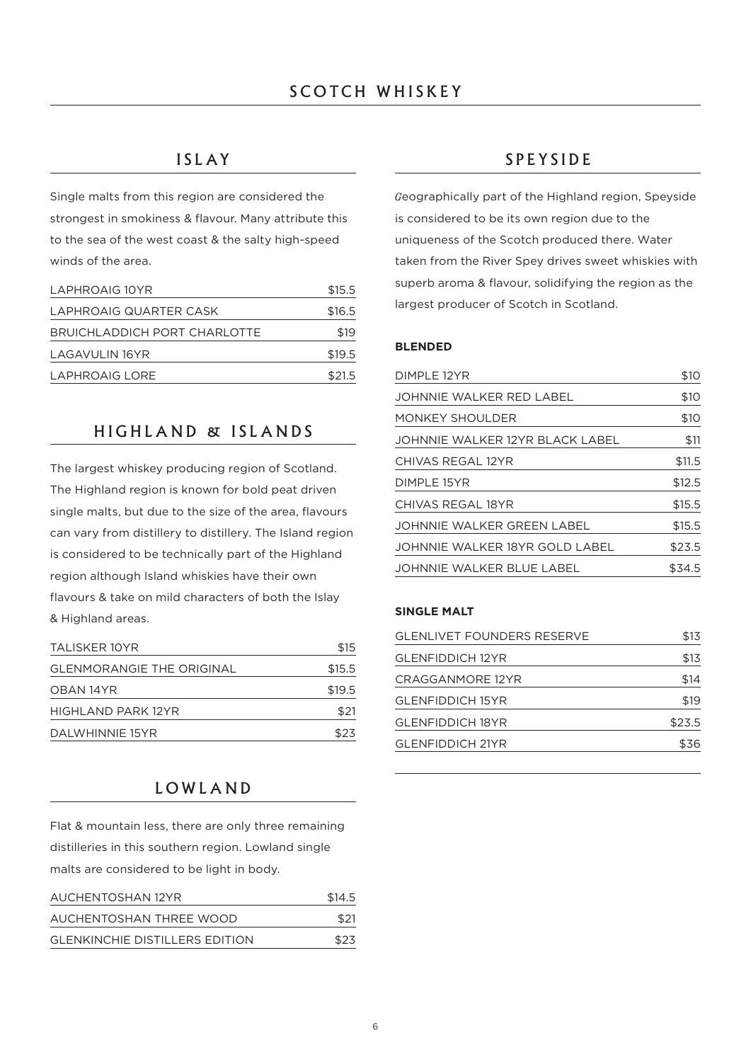### ISLAY

Single malts from this region are considered the strongest in smokiness & flavour. Many attribute this to the sea of the west coast & the salty high-speed winds of the area.

| \$15.5 |
|--------|
| \$16.5 |
| \$19   |
| \$19.5 |
| \$21.5 |
|        |

### HIGHLAND & ISLANDS

The largest whiskey producing region of Scotland. The Highland region is known for bold peat driven single malts, but due to the size of the area, flavours can vary from distillery to distillery. The Island region is considered to be technically part of the Highland region although Island whiskies have their own flavours & take on mild characters of both the Islay & Highland areas.

| <b>TALISKER 10YR</b>             | \$15   |  |
|----------------------------------|--------|--|
| <b>GLENMORANGIE THE ORIGINAL</b> | \$15.5 |  |
| OBAN 14YR                        | \$19.5 |  |
| HIGHI AND PARK 12YR              | \$21   |  |
| DALWHINNIE 15YR                  | \$23   |  |
|                                  |        |  |

### LOWLAND

Flat & mountain less, there are only three remaining distilleries in this southern region. Lowland single malts are considered to be light in body.

| AUCHENTOSHAN 12YR                     | \$14.5 |
|---------------------------------------|--------|
| AUCHENTOSHAN THREE WOOD               | \$21   |
| <b>GLENKINCHIE DISTILLERS EDITION</b> | \$23   |

### SPEYSIDE

*G*eographically part of the Highland region, Speyside is considered to be its own region due to the uniqueness of the Scotch produced there. Water taken from the River Spey drives sweet whiskies with superb aroma & flavour, solidifying the region as the largest producer of Scotch in Scotland.

#### **BLENDED**

| DIMPLE 12YR                     | \$10   |
|---------------------------------|--------|
| <b>JOHNNIE WALKER RED LABEL</b> | \$10   |
| <b>MONKEY SHOULDER</b>          | \$10   |
| JOHNNIE WALKER 12YR BLACK LABEL | \$11   |
| CHIVAS REGAL 12YR               | \$11.5 |
| DIMPLE 15YR                     | \$12.5 |
| CHIVAS REGAL 18YR               | \$15.5 |
| JOHNNIF WAI KFR GRFFN I ABFI.   | \$15.5 |
| JOHNNIE WALKER 18YR GOLD LABEL  | \$23.5 |
| JOHNNIE WALKER BLUE LABEL       | \$34.5 |

#### **SINGLE MALT**

| \$13   |
|--------|
| \$14   |
| \$19   |
| \$23.5 |
| \$36   |
|        |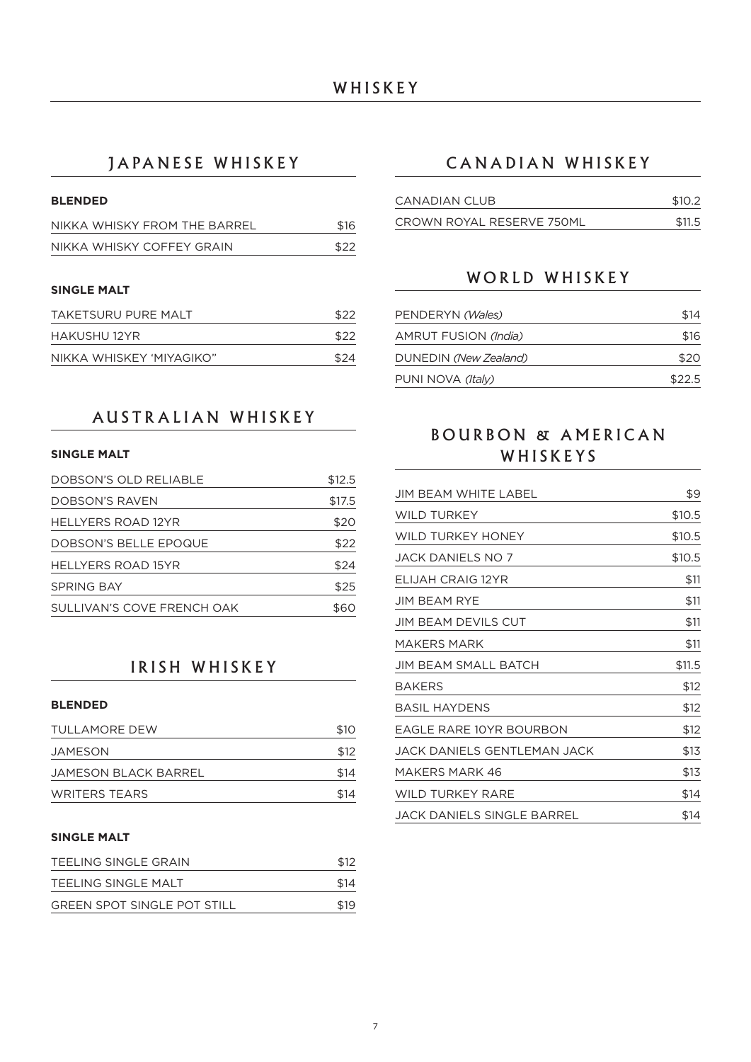### JAPANESE WHISKEY

### **BLENDED**

| NIKKA WHISKY FROM THE BARREL | \$16 |
|------------------------------|------|
| NIKKA WHISKY COFFEY GRAIN    | \$22 |

#### **SINGLE MALT**

| TAKETSURU PURE MALT      |      |  |
|--------------------------|------|--|
| HAKUSHU 12YR             |      |  |
| NIKKA WHISKEY 'MIYAGIKO" | \$24 |  |

### AUSTRALIAN WHISKEY

### **SINGLE MALT**

| DOBSON'S OLD RELIABLE      | \$12.5 |
|----------------------------|--------|
| DOBSON'S RAVEN             | \$17.5 |
| <b>HELLYERS ROAD 12YR</b>  | \$20   |
| DOBSON'S BELLE EPOQUE      | \$22   |
| <b>HELLYERS ROAD 15YR</b>  | \$24   |
| <b>SPRING BAY</b>          | \$25   |
| SULLIVAN'S COVE FRENCH OAK | 860    |

### IRISH WHISKEY

#### **BLENDED**

| TULLAMORE DEW        | \$10 |
|----------------------|------|
| JAMESON              | \$12 |
| JAMESON BLACK BARREL | \$14 |
| <b>WRITERS TEARS</b> | \$14 |

### **SINGLE MALT**

| TEELING SINGLE GRAIN               |      |
|------------------------------------|------|
| TEELING SINGLE MALT                | \$14 |
| <b>GREEN SPOT SINGLE POT STILL</b> | \$19 |

# CANADIAN WHISKEY

| CANADIAN CLUB             | \$10.2 |
|---------------------------|--------|
| CROWN ROYAL RESERVE 750ML | \$11.5 |

### WORLD WHISKEY

| PENDERYN (Wales)      | \$14   |
|-----------------------|--------|
| AMRUT FUSION (India)  | \$16   |
| DUNEDIN (New Zealand) | \$20   |
| PUNI NOVA (Italy)     | \$22.5 |

### BOURBON & AMERICAN WHISKEYS

| <b>JIM BEAM WHITE LABEL</b>        | \$9    |
|------------------------------------|--------|
| <b>WILD TURKEY</b>                 | \$10.5 |
| <b>WILD TURKEY HONEY</b>           | \$10.5 |
| <b>JACK DANIELS NO 7</b>           | \$10.5 |
| ELIJAH CRAIG 12YR                  | \$11   |
| <b>JIM BEAM RYE</b>                | \$11   |
| JIM BEAM DEVILS CUT                | \$11   |
| <b>MAKERS MARK</b>                 | \$11   |
| JIM BEAM SMALL BATCH               | \$11.5 |
| <b>BAKERS</b>                      | \$12   |
| <b>BASIL HAYDENS</b>               | \$12   |
| EAGLE RARE 10YR BOURBON            | \$12   |
| <b>JACK DANIELS GENTLEMAN JACK</b> | \$13   |
| MAKERS MARK 46                     | \$13   |
| <b>WILD TURKEY RARE</b>            | \$14   |
| <b>JACK DANIELS SINGLE BARREL</b>  | \$14   |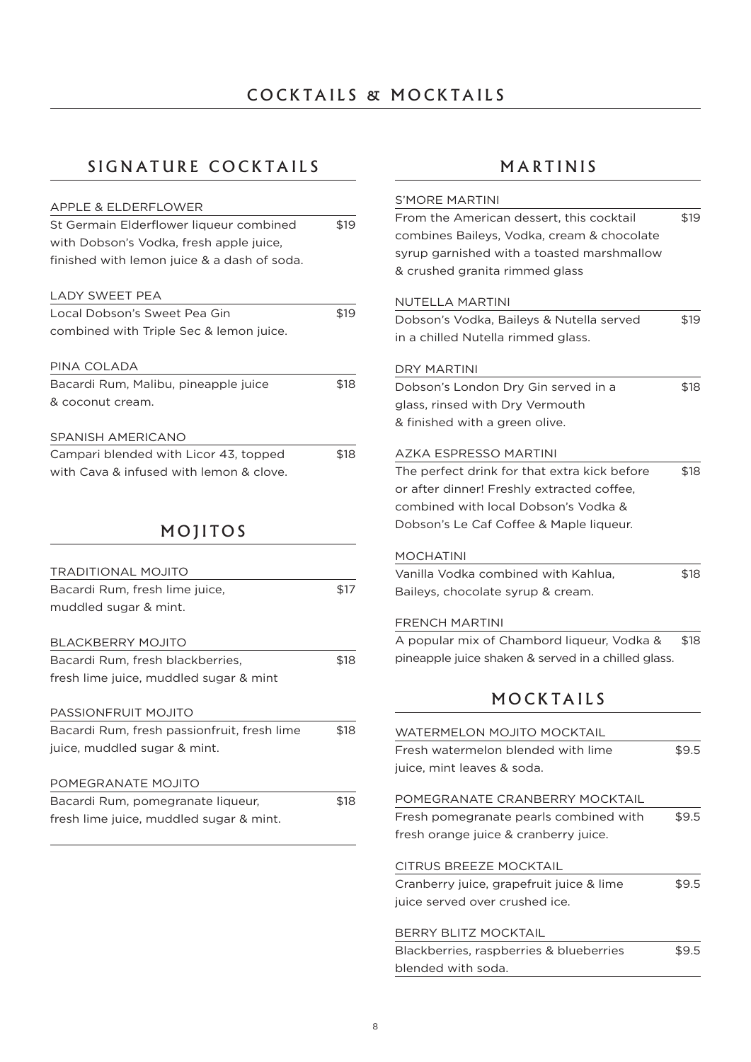# COCKTAILS & MOCKTAILS

# SIGNATURE COCKTAILS

| <b>APPLE &amp; ELDERFLOWER</b>                                             |      |
|----------------------------------------------------------------------------|------|
| St Germain Elderflower liqueur combined                                    | \$19 |
| with Dobson's Vodka, fresh apple juice,                                    |      |
| finished with lemon juice & a dash of soda.                                |      |
|                                                                            |      |
| LADY SWEET PEA                                                             |      |
| Local Dobson's Sweet Pea Gin                                               | \$19 |
| combined with Triple Sec & lemon juice.                                    |      |
|                                                                            |      |
| PINA COLADA                                                                |      |
| Bacardi Rum, Malibu, pineapple juice                                       | \$18 |
| & coconut cream.                                                           |      |
|                                                                            |      |
| SPANISH AMERICANO                                                          |      |
| Campari blended with Licor 43, topped                                      | \$18 |
| with Cava & infused with lemon & clove.                                    |      |
|                                                                            |      |
| MOJITOS                                                                    |      |
|                                                                            |      |
|                                                                            |      |
|                                                                            |      |
| TRADITIONAL MOJITO                                                         |      |
| Bacardi Rum, fresh lime juice,                                             | \$17 |
| muddled sugar & mint.                                                      |      |
| <b>BLACKBERRY MOJITO</b>                                                   |      |
|                                                                            | \$18 |
| Bacardi Rum, fresh blackberries,<br>fresh lime juice, muddled sugar & mint |      |
|                                                                            |      |
| PASSIONFRUIT MOJITO                                                        |      |
| Bacardi Rum, fresh passionfruit, fresh lime                                | \$18 |
| juice, muddled sugar & mint.                                               |      |
|                                                                            |      |
| POMEGRANATE MOJITO                                                         |      |
| Bacardi Rum, pomegranate liqueur,                                          | \$18 |
| fresh lime juice, muddled sugar & mint.                                    |      |
|                                                                            |      |

# MARTINIS

| <b>S'MORE MARTINI</b>                               |       |
|-----------------------------------------------------|-------|
| From the American dessert, this cocktail            | \$19  |
| combines Baileys, Vodka, cream & chocolate          |       |
| syrup garnished with a toasted marshmallow          |       |
| & crushed granita rimmed glass                      |       |
| NUTELLA MARTINI                                     |       |
| Dobson's Vodka, Baileys & Nutella served            | \$19  |
| in a chilled Nutella rimmed glass.                  |       |
| <b>DRY MARTINI</b>                                  |       |
| Dobson's London Dry Gin served in a                 | \$18  |
| glass, rinsed with Dry Vermouth                     |       |
| & finished with a green olive.                      |       |
| AZKA ESPRESSO MARTINI                               |       |
| The perfect drink for that extra kick before        | \$18  |
| or after dinner! Freshly extracted coffee,          |       |
| combined with local Dobson's Vodka &                |       |
| Dobson's Le Caf Coffee & Maple liqueur.             |       |
| <b>MOCHATINI</b>                                    |       |
| Vanilla Vodka combined with Kahlua,                 | \$18  |
| Baileys, chocolate syrup & cream.                   |       |
| <b>FRENCH MARTINI</b>                               |       |
| A popular mix of Chambord liqueur, Vodka &          | \$18  |
| pineapple juice shaken & served in a chilled glass. |       |
| MOCKTAILS                                           |       |
| WATERMELON MOJITO MOCKTAIL                          |       |
| Fresh watermelon blended with lime                  | \$9.5 |
| juice, mint leaves & soda.                          |       |
|                                                     |       |
| POMEGRANATE CRANBERRY MOCKTAIL                      |       |
| Fresh pomegranate pearls combined with              | \$9.5 |
| fresh orange juice & cranberry juice.               |       |
| CITRUS BREEZE MOCKTAIL                              |       |
| Cranberry juice, grapefruit juice & lime            | \$9.5 |
| juice served over crushed ice.                      |       |
| BERRY BLITZ MOCKTAIL                                |       |
| Blackberries, raspberries & blueberries             | \$9.5 |

blended with soda.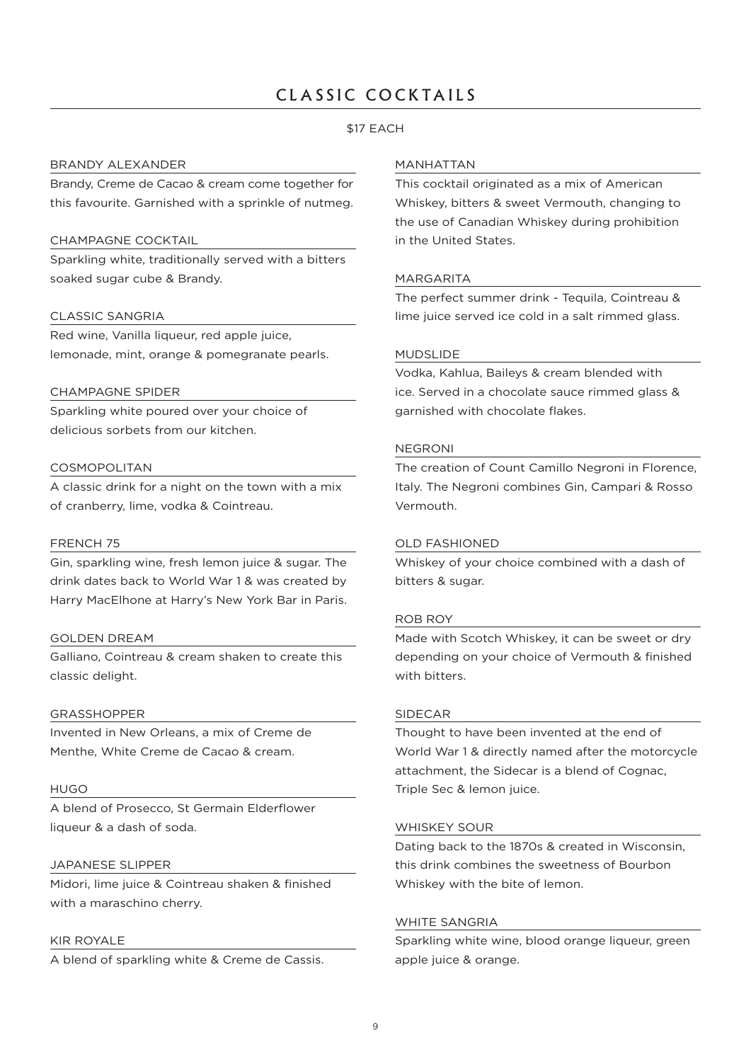# CLASSIC COCKTAILS

#### \$17 EACH

#### BRANDY ALEXANDER

Brandy, Creme de Cacao & cream come together for this favourite. Garnished with a sprinkle of nutmeg.

#### CHAMPAGNE COCKTAIL

Sparkling white, traditionally served with a bitters soaked sugar cube & Brandy.

#### CLASSIC SANGRIA

Red wine, Vanilla liqueur, red apple juice, lemonade, mint, orange & pomegranate pearls.

#### CHAMPAGNE SPIDER

Sparkling white poured over your choice of delicious sorbets from our kitchen.

#### COSMOPOLITAN

A classic drink for a night on the town with a mix of cranberry, lime, vodka & Cointreau.

#### FRENCH 75

Gin, sparkling wine, fresh lemon juice & sugar. The drink dates back to World War 1 & was created by Harry MacElhone at Harry's New York Bar in Paris.

#### GOLDEN DREAM

Galliano, Cointreau & cream shaken to create this classic delight.

#### GRASSHOPPER

Invented in New Orleans, a mix of Creme de Menthe, White Creme de Cacao & cream.

#### HUGO

A blend of Prosecco, St Germain Elderflower liqueur & a dash of soda.

#### JAPANESE SLIPPER

Midori, lime juice & Cointreau shaken & finished with a maraschino cherry.

#### KIR ROYALE

A blend of sparkling white & Creme de Cassis.

#### MANHATTAN

This cocktail originated as a mix of American Whiskey, bitters & sweet Vermouth, changing to the use of Canadian Whiskey during prohibition in the United States.

#### MARGARITA

The perfect summer drink - Tequila, Cointreau & lime juice served ice cold in a salt rimmed glass.

#### MUDSLIDE

Vodka, Kahlua, Baileys & cream blended with ice. Served in a chocolate sauce rimmed glass & garnished with chocolate flakes.

#### NEGRONI

The creation of Count Camillo Negroni in Florence, Italy. The Negroni combines Gin, Campari & Rosso Vermouth.

#### OLD FASHIONED

Whiskey of your choice combined with a dash of bitters & sugar.

#### ROB ROY

Made with Scotch Whiskey, it can be sweet or dry depending on your choice of Vermouth & finished with bitters.

#### SIDECAR

Thought to have been invented at the end of World War 1 & directly named after the motorcycle attachment, the Sidecar is a blend of Cognac, Triple Sec & lemon juice.

#### WHISKEY SOUR

Dating back to the 1870s & created in Wisconsin, this drink combines the sweetness of Bourbon Whiskey with the bite of lemon.

#### WHITE SANGRIA

Sparkling white wine, blood orange liqueur, green apple juice & orange.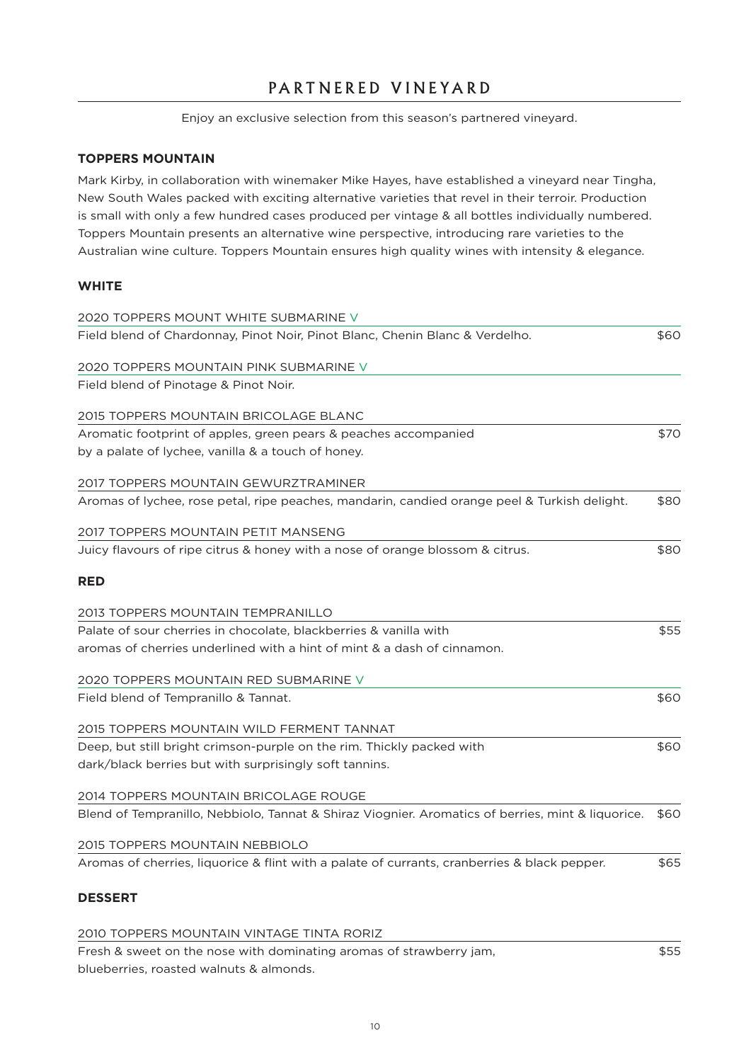### PARTNERED VINEYARD

Enjoy an exclusive selection from this season's partnered vineyard.

### **TOPPERS MOUNTAIN**

Mark Kirby, in collaboration with winemaker Mike Hayes, have established a vineyard near Tingha, New South Wales packed with exciting alternative varieties that revel in their terroir. Production is small with only a few hundred cases produced per vintage & all bottles individually numbered. Toppers Mountain presents an alternative wine perspective, introducing rare varieties to the Australian wine culture. Toppers Mountain ensures high quality wines with intensity & elegance.

### **WHITE**

| 2020 TOPPERS MOUNT WHITE SUBMARINE V                                                              |      |
|---------------------------------------------------------------------------------------------------|------|
| Field blend of Chardonnay, Pinot Noir, Pinot Blanc, Chenin Blanc & Verdelho.                      | \$60 |
| 2020 TOPPERS MOUNTAIN PINK SUBMARINE V                                                            |      |
| Field blend of Pinotage & Pinot Noir.                                                             |      |
| 2015 TOPPERS MOUNTAIN BRICOLAGE BLANC                                                             |      |
| Aromatic footprint of apples, green pears & peaches accompanied                                   | \$70 |
| by a palate of lychee, vanilla & a touch of honey.                                                |      |
| 2017 TOPPERS MOUNTAIN GEWURZTRAMINER                                                              |      |
| Aromas of lychee, rose petal, ripe peaches, mandarin, candied orange peel & Turkish delight.      | \$80 |
| 2017 TOPPERS MOUNTAIN PETIT MANSENG                                                               |      |
| Juicy flavours of ripe citrus & honey with a nose of orange blossom & citrus.                     | \$80 |
| <b>RED</b>                                                                                        |      |
| <b>2013 TOPPERS MOUNTAIN TEMPRANILLO</b>                                                          |      |
| Palate of sour cherries in chocolate, blackberries & vanilla with                                 | \$55 |
| aromas of cherries underlined with a hint of mint & a dash of cinnamon.                           |      |
| 2020 TOPPERS MOUNTAIN RED SUBMARINE V                                                             |      |
| Field blend of Tempranillo & Tannat.                                                              | \$60 |
| 2015 TOPPERS MOUNTAIN WILD FERMENT TANNAT                                                         |      |
| Deep, but still bright crimson-purple on the rim. Thickly packed with                             | \$60 |
| dark/black berries but with surprisingly soft tannins.                                            |      |
| 2014 TOPPERS MOUNTAIN BRICOLAGE ROUGE                                                             |      |
| Blend of Tempranillo, Nebbiolo, Tannat & Shiraz Viognier. Aromatics of berries, mint & liquorice. | \$60 |
| <b>2015 TOPPERS MOUNTAIN NEBBIOLO</b>                                                             |      |
| Aromas of cherries, liquorice & flint with a palate of currants, cranberries & black pepper.      | \$65 |
| <b>DESSERT</b>                                                                                    |      |
| 2010 TOPPERS MOUNTAIN VINTAGE TINTA RORIZ                                                         |      |
| Fresh & sweet on the nose with dominating aromas of strawberry jam,                               | \$55 |

blueberries, roasted walnuts & almonds.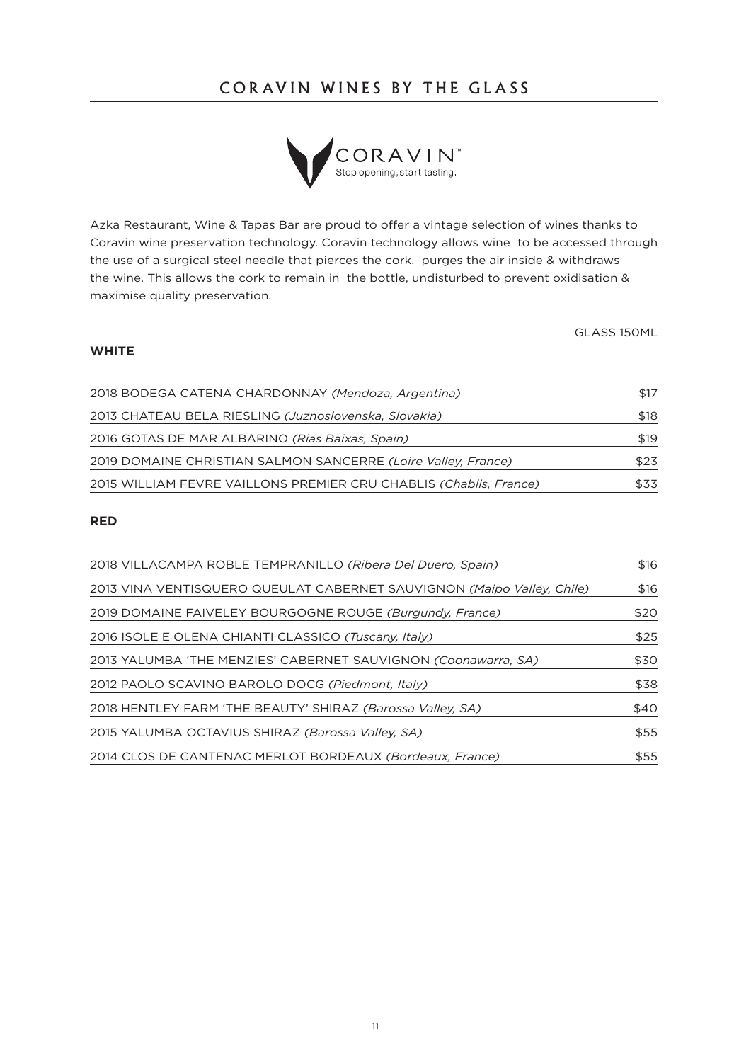# COR AVIN WINES BY THE GLASS



Azka Restaurant, Wine & Tapas Bar are proud to offer a vintage selection of wines thanks to Coravin wine preservation technology. Coravin technology allows wine to be accessed through the use of a surgical steel needle that pierces the cork, purges the air inside & withdraws the wine. This allows the cork to remain in the bottle, undisturbed to prevent oxidisation & maximise quality preservation.

GLASS 150ML

#### **WHITE**

| 2018 BODEGA CATENA CHARDONNAY (Mendoza, Argentina)                | \$17 |
|-------------------------------------------------------------------|------|
| 2013 CHATEAU BELA RIESLING (Juznoslovenska, Slovakia)             | \$18 |
| 2016 GOTAS DE MAR ALBARINO (Rias Baixas, Spain)                   | \$19 |
| 2019 DOMAINE CHRISTIAN SALMON SANCERRE (Loire Valley, France)     | \$23 |
| 2015 WILLIAM FEVRE VAILLONS PREMIER CRU CHABLIS (Chablis, France) | \$33 |

#### **RED**

| 2018 VILLACAMPA ROBLE TEMPRANILLO (Ribera Del Duero, Spain)            | \$16 |
|------------------------------------------------------------------------|------|
| 2013 VINA VENTISQUERO QUEULAT CABERNET SAUVIGNON (Maipo Valley, Chile) | \$16 |
| 2019 DOMAINE FAIVELEY BOURGOGNE ROUGE (Burgundy, France)               | \$20 |
| 2016 ISOLE E OLENA CHIANTI CLASSICO (Tuscany, Italy)                   | \$25 |
| 2013 YALUMBA 'THE MENZIES' CABERNET SAUVIGNON (Coonawarra, SA)         | \$30 |
| 2012 PAOLO SCAVINO BAROLO DOCG (Piedmont, Italy)                       | \$38 |
| 2018 HENTLEY FARM 'THE BEAUTY' SHIRAZ (Barossa Valley, SA)             | \$40 |
| 2015 YALUMBA OCTAVIUS SHIRAZ (Barossa Valley, SA)                      | \$55 |
| 2014 CLOS DE CANTENAC MERLOT BORDEAUX (Bordeaux, France)               | \$55 |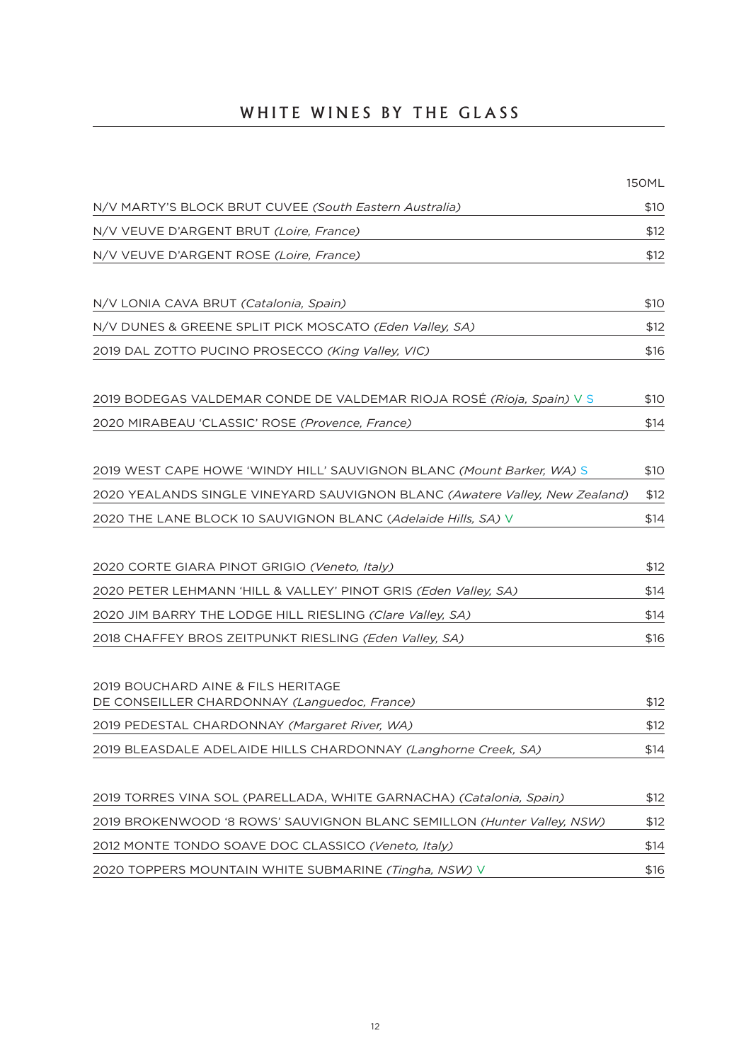# WHITE WINES BY THE GLASS

|                                                                             | 150ML |
|-----------------------------------------------------------------------------|-------|
| N/V MARTY'S BLOCK BRUT CUVEE (South Eastern Australia)                      | \$10  |
| N/V VEUVE D'ARGENT BRUT (Loire, France)                                     | \$12  |
| N/V VEUVE D'ARGENT ROSE (Loire, France)                                     | \$12  |
|                                                                             |       |
| N/V LONIA CAVA BRUT (Catalonia, Spain)                                      | \$10  |
| N/V DUNES & GREENE SPLIT PICK MOSCATO (Eden Valley, SA)                     | \$12  |
| 2019 DAL ZOTTO PUCINO PROSECCO (King Valley, VIC)                           | \$16  |
| 2019 BODEGAS VALDEMAR CONDE DE VALDEMAR RIOJA ROSÉ (Rioja, Spain) V S       | \$10  |
| 2020 MIRABEAU 'CLASSIC' ROSE (Provence, France)                             | \$14  |
|                                                                             |       |
| 2019 WEST CAPE HOWE 'WINDY HILL' SAUVIGNON BLANC (Mount Barker, WA) S       | \$10  |
| 2020 YEALANDS SINGLE VINEYARD SAUVIGNON BLANC (Awatere Valley, New Zealand) | \$12  |
| 2020 THE LANE BLOCK 10 SAUVIGNON BLANC (Adelaide Hills, SA) V               | \$14  |
| 2020 CORTE GIARA PINOT GRIGIO (Veneto, Italy)                               | \$12  |
| 2020 PETER LEHMANN 'HILL & VALLEY' PINOT GRIS (Eden Valley, SA)             | \$14  |
| 2020 JIM BARRY THE LODGE HILL RIESLING (Clare Valley, SA)                   | \$14  |
| 2018 CHAFFEY BROS ZEITPUNKT RIESLING (Eden Valley, SA)                      | \$16  |
| 2019 BOUCHARD AINE & FILS HERITAGE                                          |       |
| DE CONSEILLER CHARDONNAY (Languedoc, France)                                | \$12  |
| 2019 PEDESTAL CHARDONNAY (Margaret River, WA)                               | \$12  |
| 2019 BLEASDALE ADELAIDE HILLS CHARDONNAY (Langhorne Creek, SA)              | \$14  |
| 2019 TORRES VINA SOL (PARELLADA, WHITE GARNACHA) (Catalonia, Spain)         | \$12  |
| 2019 BROKENWOOD '8 ROWS' SAUVIGNON BLANC SEMILLON (Hunter Valley, NSW)      | \$12  |
| 2012 MONTE TONDO SOAVE DOC CLASSICO (Veneto, Italy)                         | \$14  |
| 2020 TOPPERS MOUNTAIN WHITE SUBMARINE (Tingha, NSW) V                       | \$16  |
|                                                                             |       |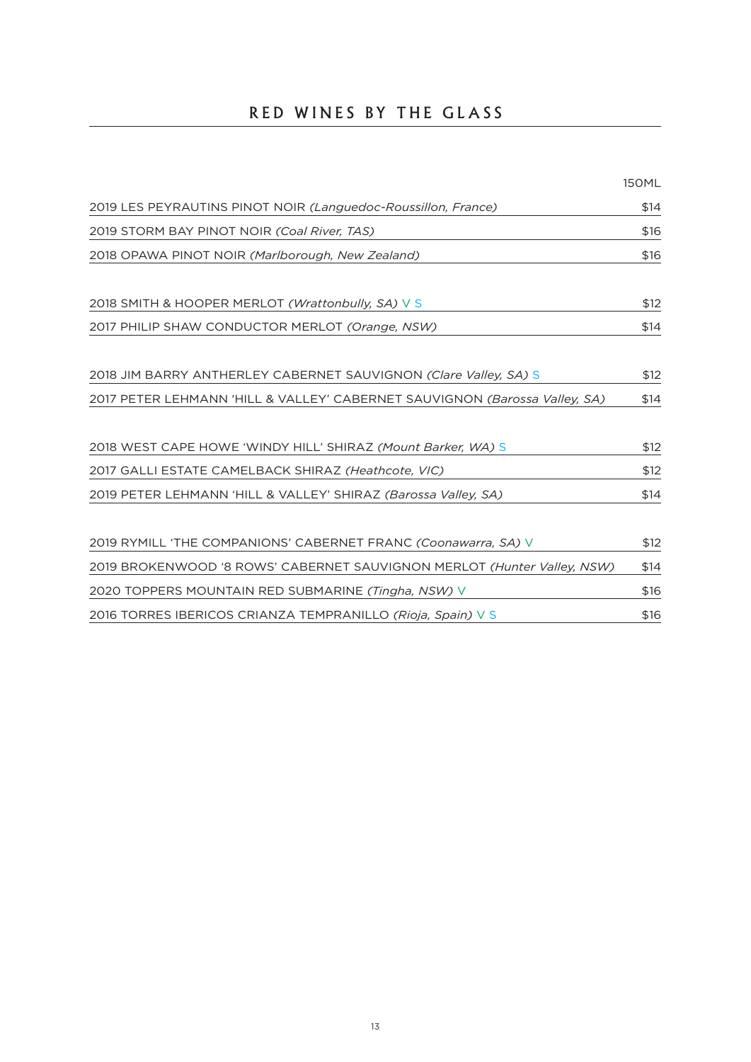# RED WINES BY THE GLASS

|                                                                            | <b>150ML</b> |
|----------------------------------------------------------------------------|--------------|
| 2019 LES PEYRAUTINS PINOT NOIR (Languedoc-Roussillon, France)              | \$14         |
| 2019 STORM BAY PINOT NOIR (Coal River, TAS)                                | \$16         |
| 2018 OPAWA PINOT NOIR (Marlborough, New Zealand)                           | \$16         |
| 2018 SMITH & HOOPER MERLOT (Wrattonbully, SA) V S                          | \$12         |
| 2017 PHILIP SHAW CONDUCTOR MERLOT (Orange, NSW)                            | \$14         |
| 2018 JIM BARRY ANTHERLEY CABERNET SAUVIGNON (Clare Valley, SA) S           | \$12         |
| 2017 PETER LEHMANN 'HILL & VALLEY' CABERNET SAUVIGNON (Barossa Valley, SA) | \$14         |
| 2018 WEST CAPE HOWE 'WINDY HILL' SHIRAZ (Mount Barker, WA) S               | \$12         |
| 2017 GALLI ESTATE CAMELBACK SHIRAZ (Heathcote, VIC)                        | \$12         |
| 2019 PETER LEHMANN 'HILL & VALLEY' SHIRAZ (Barossa Valley, SA)             | \$14         |
| 2019 RYMILL 'THE COMPANIONS' CABERNET FRANC (Coonawarra, SA) V             | \$12         |
| 2019 BROKENWOOD '8 ROWS' CABERNET SAUVIGNON MERLOT (Hunter Valley, NSW)    | \$14         |
| 2020 TOPPERS MOUNTAIN RED SUBMARINE (Tingha, NSW) V                        | \$16         |
| 2016 TORRES IBERICOS CRIANZA TEMPRANILLO (Rioja, Spain) V S                | \$16         |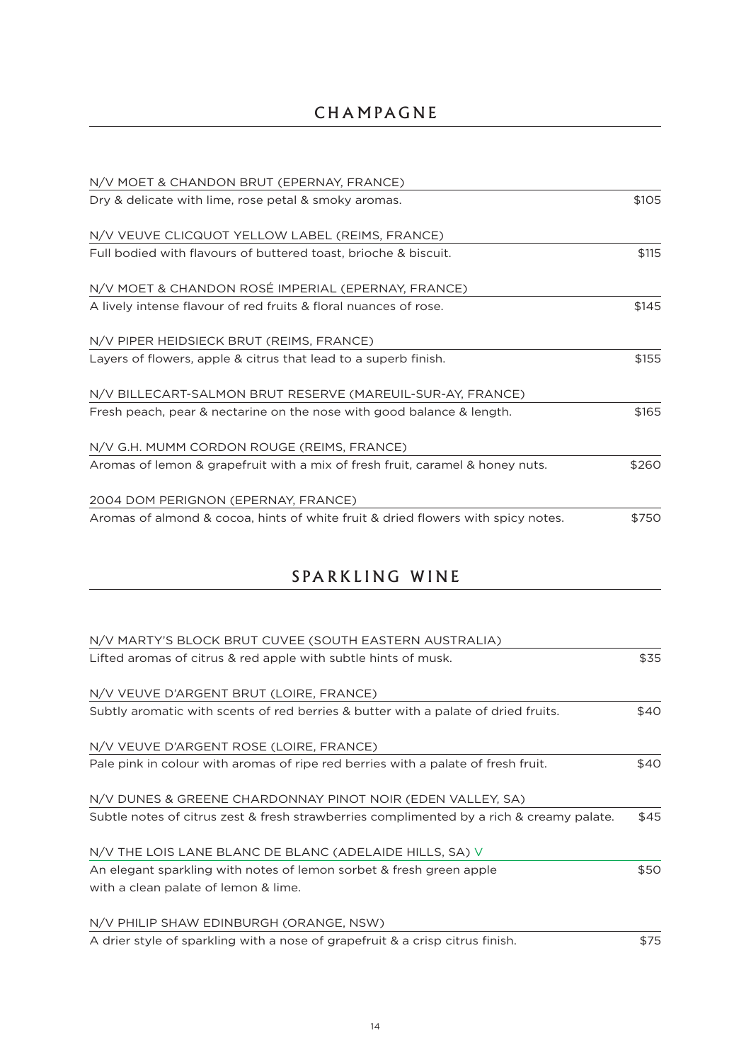| N/V MOET & CHANDON BRUT (EPERNAY, FRANCE)                                        |       |
|----------------------------------------------------------------------------------|-------|
| Dry & delicate with lime, rose petal & smoky aromas.                             | \$105 |
| N/V VEUVE CLICQUOT YELLOW LABEL (REIMS, FRANCE)                                  |       |
| Full bodied with flavours of buttered toast, brioche & biscuit.                  | \$115 |
| N/V MOET & CHANDON ROSÉ IMPERIAL (EPERNAY, FRANCE)                               |       |
| A lively intense flavour of red fruits & floral nuances of rose.                 | \$145 |
| N/V PIPER HEIDSIECK BRUT (REIMS, FRANCE)                                         |       |
| Layers of flowers, apple & citrus that lead to a superb finish.                  | \$155 |
| N/V BILLECART-SALMON BRUT RESERVE (MAREUIL-SUR-AY, FRANCE)                       |       |
| Fresh peach, pear & nectarine on the nose with good balance & length.            | \$165 |
| N/V G.H. MUMM CORDON ROUGE (REIMS, FRANCE)                                       |       |
| Aromas of lemon & grapefruit with a mix of fresh fruit, caramel & honey nuts.    | \$260 |
| 2004 DOM PERIGNON (EPERNAY, FRANCE)                                              |       |
| Aromas of almond & cocoa, hints of white fruit & dried flowers with spicy notes. | \$750 |

# SPARKLING WINE

| N/V MARTY'S BLOCK BRUT CUVEE (SOUTH EASTERN AUSTRALIA)                                   |      |
|------------------------------------------------------------------------------------------|------|
| Lifted aromas of citrus & red apple with subtle hints of musk.                           | \$35 |
| N/V VEUVE D'ARGENT BRUT (LOIRE, FRANCE)                                                  |      |
| Subtly aromatic with scents of red berries & butter with a palate of dried fruits.       | \$40 |
| N/V VEUVE D'ARGENT ROSE (LOIRE, FRANCE)                                                  |      |
| Pale pink in colour with aromas of ripe red berries with a palate of fresh fruit.        | \$40 |
| N/V DUNES & GREENE CHARDONNAY PINOT NOIR (EDEN VALLEY, SA)                               |      |
| Subtle notes of citrus zest & fresh strawberries complimented by a rich & creamy palate. | \$45 |
| N/V THE LOIS LANE BLANC DE BLANC (ADELAIDE HILLS, SA) V                                  |      |
| An elegant sparkling with notes of lemon sorbet & fresh green apple                      | \$50 |
| with a clean palate of lemon & lime.                                                     |      |
| N/V PHILIP SHAW EDINBURGH (ORANGE, NSW)                                                  |      |

A drier style of sparkling with a nose of grapefruit & a crisp citrus finish.  $\frac{1}{575}$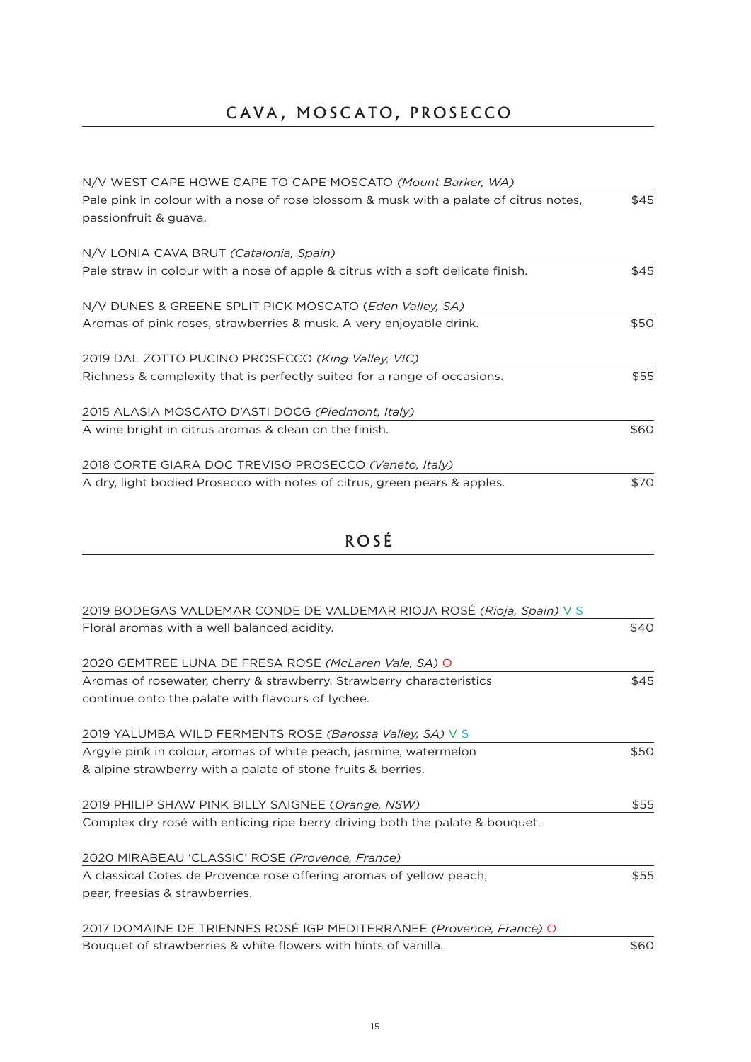| N/V WEST CAPE HOWE CAPE TO CAPE MOSCATO (Mount Barker, WA)                            |      |
|---------------------------------------------------------------------------------------|------|
| Pale pink in colour with a nose of rose blossom & musk with a palate of citrus notes, | \$45 |
| passionfruit & guava.                                                                 |      |
| N/V LONIA CAVA BRUT (Catalonia, Spain)                                                |      |
| Pale straw in colour with a nose of apple & citrus with a soft delicate finish.       | \$45 |
| N/V DUNES & GREENE SPLIT PICK MOSCATO (Eden Valley, SA)                               |      |
| Aromas of pink roses, strawberries & musk. A very enjoyable drink.                    | \$50 |
| 2019 DAL ZOTTO PUCINO PROSECCO (King Valley, VIC)                                     |      |
| Richness & complexity that is perfectly suited for a range of occasions.              | \$55 |
| 2015 ALASIA MOSCATO D'ASTI DOCG (Piedmont, Italy)                                     |      |
| A wine bright in citrus aromas & clean on the finish.                                 | \$60 |
| 2018 CORTE GIARA DOC TREVISO PROSECCO (Veneto, Italy)                                 |      |
| A dry, light bodied Prosecco with notes of citrus, green pears & apples.              | \$70 |

# ROSÉ

| 2019 BODEGAS VALDEMAR CONDE DE VALDEMAR RIOJA ROSÉ (Rioja, Spain) V S        |      |
|------------------------------------------------------------------------------|------|
| Floral aromas with a well balanced acidity.                                  | \$40 |
| 2020 GEMTREE LUNA DE FRESA ROSE (McLaren Vale, SA) O                         |      |
| Aromas of rosewater, cherry & strawberry. Strawberry characteristics         | \$45 |
| continue onto the palate with flavours of lychee.                            |      |
| 2019 YALUMBA WILD FERMENTS ROSE (Barossa Valley, SA) V S                     |      |
| Argyle pink in colour, aromas of white peach, jasmine, watermelon            | \$50 |
| & alpine strawberry with a palate of stone fruits & berries.                 |      |
| 2019 PHILIP SHAW PINK BILLY SAIGNEE (Orange, NSW)                            | \$55 |
| Complex dry rosé with enticing ripe berry driving both the palate & bouquet. |      |
| 2020 MIRABEAU 'CLASSIC' ROSE (Provence, France)                              |      |
| A classical Cotes de Provence rose offering aromas of yellow peach,          | \$55 |
| pear, freesias & strawberries.                                               |      |
| 2017 DOMAINE DE TRIENNES ROSÉ IGP MEDITERRANEE (Provence, France) O          |      |
| Bouquet of strawberries & white flowers with hints of vanilla.               | \$60 |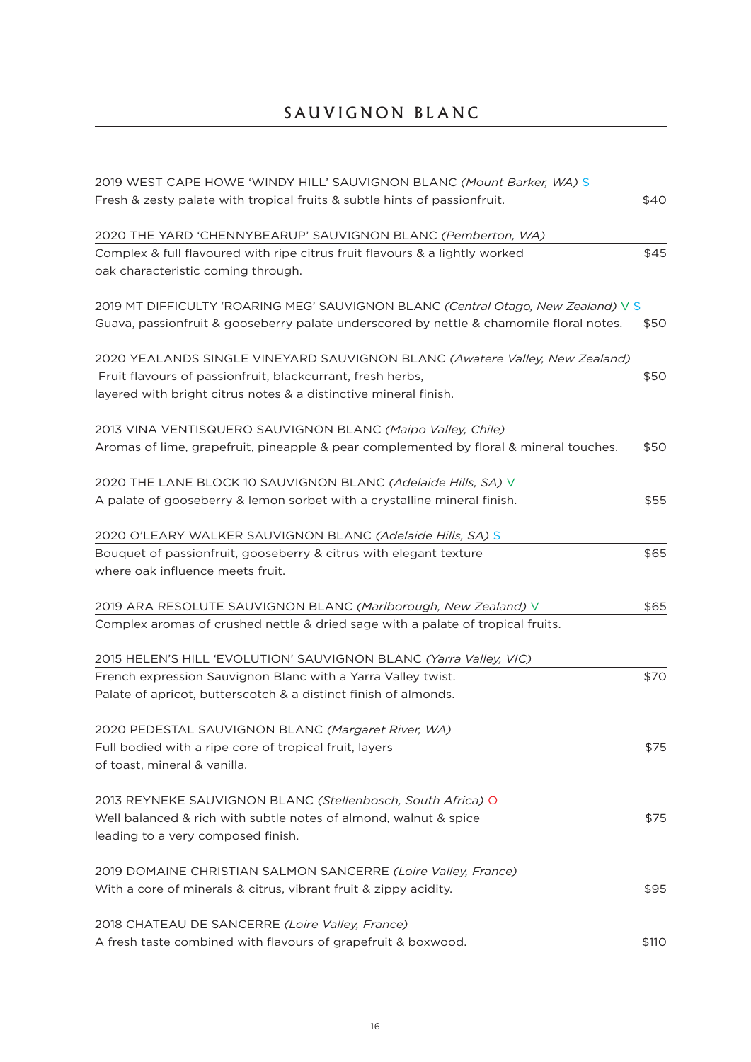# SAUVIGNON BLANC

| 2019 WEST CAPE HOWE 'WINDY HILL' SAUVIGNON BLANC (Mount Barker, WA) S                   |       |
|-----------------------------------------------------------------------------------------|-------|
| Fresh & zesty palate with tropical fruits & subtle hints of passionfruit.               | \$40  |
| 2020 THE YARD 'CHENNYBEARUP' SAUVIGNON BLANC (Pemberton, WA)                            |       |
| Complex & full flavoured with ripe citrus fruit flavours & a lightly worked             | \$45  |
| oak characteristic coming through.                                                      |       |
| 2019 MT DIFFICULTY 'ROARING MEG' SAUVIGNON BLANC (Central Otago, New Zealand) V S       |       |
| Guava, passionfruit & gooseberry palate underscored by nettle & chamomile floral notes. | \$50  |
| 2020 YEALANDS SINGLE VINEYARD SAUVIGNON BLANC (Awatere Valley, New Zealand)             |       |
| Fruit flavours of passionfruit, blackcurrant, fresh herbs,                              | \$50  |
| layered with bright citrus notes & a distinctive mineral finish.                        |       |
| 2013 VINA VENTISQUERO SAUVIGNON BLANC (Maipo Valley, Chile)                             |       |
| Aromas of lime, grapefruit, pineapple & pear complemented by floral & mineral touches.  | \$50  |
| 2020 THE LANE BLOCK 10 SAUVIGNON BLANC (Adelaide Hills, SA) V                           |       |
| A palate of gooseberry & lemon sorbet with a crystalline mineral finish.                | \$55  |
| 2020 O'LEARY WALKER SAUVIGNON BLANC (Adelaide Hills, SA) S                              |       |
| Bouquet of passionfruit, gooseberry & citrus with elegant texture                       | \$65  |
| where oak influence meets fruit.                                                        |       |
| 2019 ARA RESOLUTE SAUVIGNON BLANC (Marlborough, New Zealand) V                          | \$65  |
| Complex aromas of crushed nettle & dried sage with a palate of tropical fruits.         |       |
| 2015 HELEN'S HILL 'EVOLUTION' SAUVIGNON BLANC (Yarra Valley, VIC)                       |       |
| French expression Sauvignon Blanc with a Yarra Valley twist.                            | \$70  |
| Palate of apricot, butterscotch & a distinct finish of almonds.                         |       |
| 2020 PEDESTAL SAUVIGNON BLANC (Margaret River, WA)                                      |       |
| Full bodied with a ripe core of tropical fruit, layers                                  | \$75  |
| of toast, mineral & vanilla.                                                            |       |
| 2013 REYNEKE SAUVIGNON BLANC (Stellenbosch, South Africa) O                             |       |
| Well balanced & rich with subtle notes of almond, walnut & spice                        | \$75  |
| leading to a very composed finish.                                                      |       |
| 2019 DOMAINE CHRISTIAN SALMON SANCERRE (Loire Valley, France)                           |       |
| With a core of minerals & citrus, vibrant fruit & zippy acidity.                        | \$95  |
| 2018 CHATEAU DE SANCERRE (Loire Valley, France)                                         |       |
| A fresh taste combined with flavours of grapefruit & boxwood.                           | \$110 |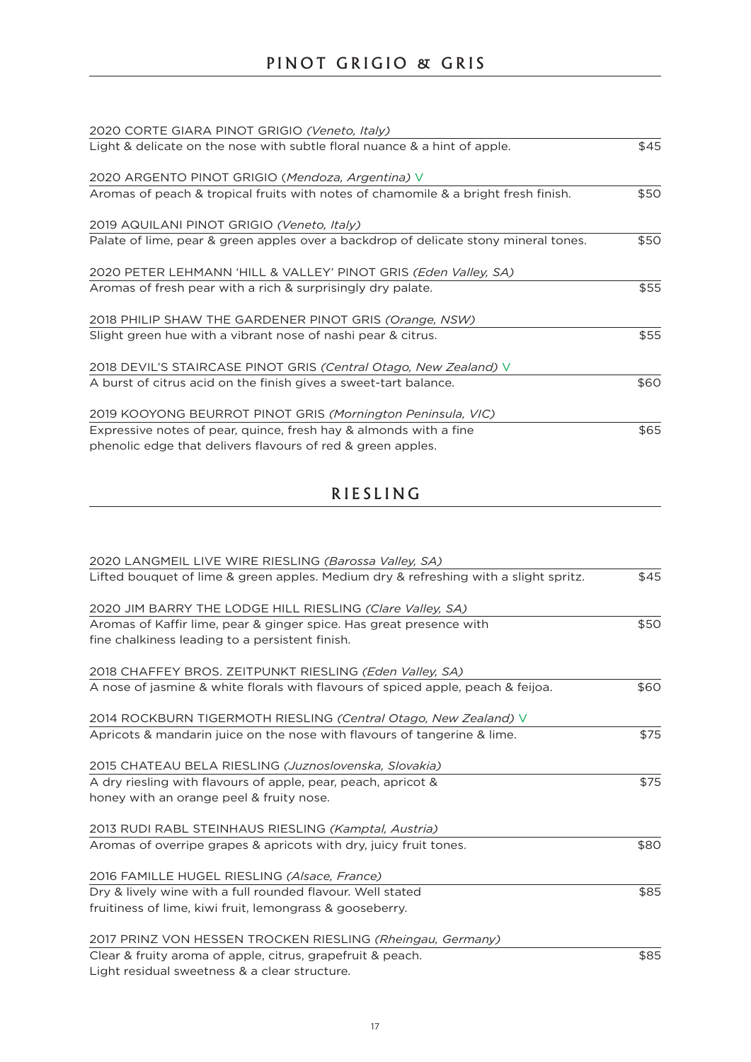| 2020 CORTE GIARA PINOT GRIGIO (Veneto, Italy)                                        |      |
|--------------------------------------------------------------------------------------|------|
| Light & delicate on the nose with subtle floral nuance & a hint of apple.            | \$45 |
| 2020 ARGENTO PINOT GRIGIO (Mendoza, Argentina) V                                     |      |
| Aromas of peach & tropical fruits with notes of chamomile & a bright fresh finish.   | \$50 |
| 2019 AQUILANI PINOT GRIGIO (Veneto, Italy)                                           |      |
| Palate of lime, pear & green apples over a backdrop of delicate stony mineral tones. | \$50 |
| 2020 PETER LEHMANN 'HILL & VALLEY' PINOT GRIS (Eden Valley, SA)                      |      |
| Aromas of fresh pear with a rich & surprisingly dry palate.                          | \$55 |
| 2018 PHILIP SHAW THE GARDENER PINOT GRIS (Orange, NSW)                               |      |
| Slight green hue with a vibrant nose of nashi pear & citrus.                         | \$55 |
| 2018 DEVIL'S STAIRCASE PINOT GRIS (Central Otago, New Zealand) V                     |      |
| A burst of citrus acid on the finish gives a sweet-tart balance.                     | \$60 |
| 2019 KOOYONG BEURROT PINOT GRIS (Mornington Peninsula, VIC)                          |      |
| Expressive notes of pear, quince, fresh hay & almonds with a fine                    | \$65 |
| phenolic edge that delivers flavours of red & green apples.                          |      |

# RIESLING

| 2020 LANGMEIL LIVE WIRE RIESLING (Barossa Valley, SA)                                |      |
|--------------------------------------------------------------------------------------|------|
| Lifted bouquet of lime & green apples. Medium dry & refreshing with a slight spritz. | \$45 |
| 2020 JIM BARRY THE LODGE HILL RIESLING (Clare Valley, SA)                            |      |
| Aromas of Kaffir lime, pear & ginger spice. Has great presence with                  | \$50 |
| fine chalkiness leading to a persistent finish.                                      |      |
| 2018 CHAFFEY BROS. ZEITPUNKT RIESLING (Eden Valley, SA)                              |      |
| A nose of jasmine & white florals with flavours of spiced apple, peach & feijoa.     | \$60 |
| 2014 ROCKBURN TIGERMOTH RIESLING (Central Otago, New Zealand) V                      |      |
| Apricots & mandarin juice on the nose with flavours of tangerine & lime.             | \$75 |
| 2015 CHATEAU BELA RIESLING (Juznoslovenska, Slovakia)                                |      |
| A dry riesling with flavours of apple, pear, peach, apricot &                        | \$75 |
| honey with an orange peel & fruity nose.                                             |      |
| 2013 RUDI RABL STEINHAUS RIESLING (Kamptal, Austria)                                 |      |
| Aromas of overripe grapes & apricots with dry, juicy fruit tones.                    | \$80 |
| 2016 FAMILLE HUGEL RIESLING (Alsace, France)                                         |      |
| Dry & lively wine with a full rounded flavour. Well stated                           | \$85 |
| fruitiness of lime, kiwi fruit, lemongrass & gooseberry.                             |      |
| 2017 PRINZ VON HESSEN TROCKEN RIESLING (Rheingau, Germany)                           |      |
| Clear & fruity aroma of apple, citrus, grapefruit & peach.                           | \$85 |
| Light residual sweetness & a clear structure.                                        |      |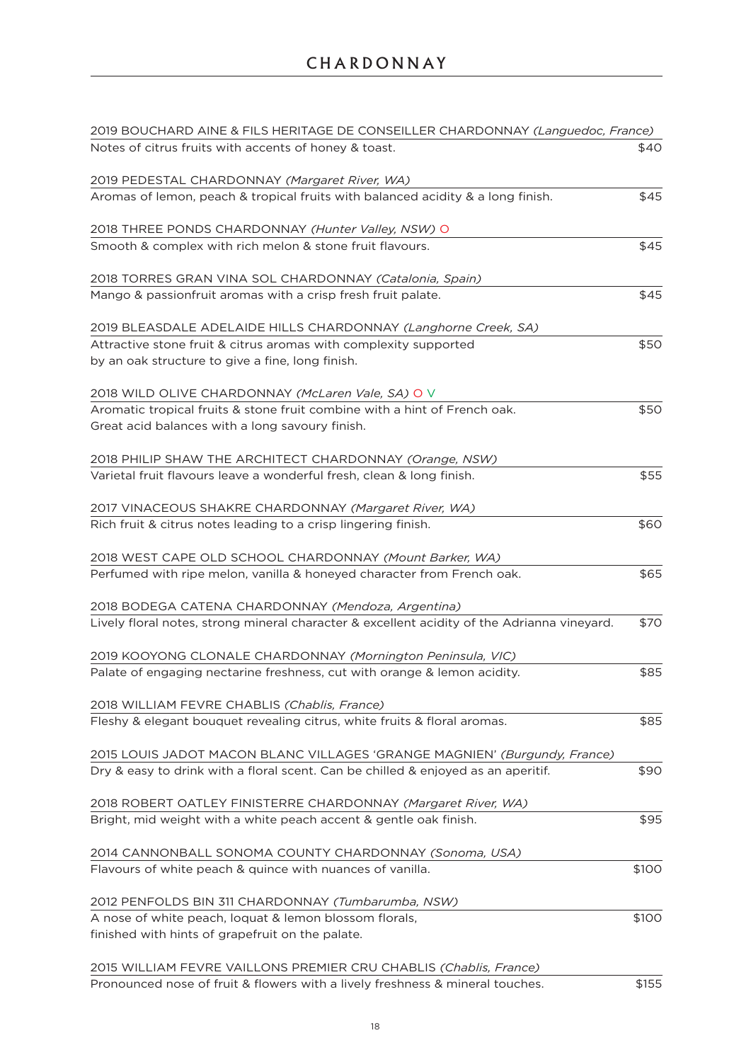| 2019 BOUCHARD AINE & FILS HERITAGE DE CONSEILLER CHARDONNAY (Languedoc, France)             |       |
|---------------------------------------------------------------------------------------------|-------|
| Notes of citrus fruits with accents of honey & toast.                                       | \$40  |
| 2019 PEDESTAL CHARDONNAY (Margaret River, WA)                                               |       |
| Aromas of lemon, peach & tropical fruits with balanced acidity & a long finish.             | \$45  |
| 2018 THREE PONDS CHARDONNAY (Hunter Valley, NSW) O                                          |       |
| Smooth & complex with rich melon & stone fruit flavours.                                    | \$45  |
| 2018 TORRES GRAN VINA SOL CHARDONNAY (Catalonia, Spain)                                     |       |
| Mango & passionfruit aromas with a crisp fresh fruit palate.                                | \$45  |
| 2019 BLEASDALE ADELAIDE HILLS CHARDONNAY (Langhorne Creek, SA)                              |       |
| Attractive stone fruit & citrus aromas with complexity supported                            | \$50  |
| by an oak structure to give a fine, long finish.                                            |       |
| 2018 WILD OLIVE CHARDONNAY (McLaren Vale, SA) O V                                           |       |
| Aromatic tropical fruits & stone fruit combine with a hint of French oak.                   | \$50  |
| Great acid balances with a long savoury finish.                                             |       |
| 2018 PHILIP SHAW THE ARCHITECT CHARDONNAY (Orange, NSW)                                     |       |
| Varietal fruit flavours leave a wonderful fresh, clean & long finish.                       | \$55  |
| 2017 VINACEOUS SHAKRE CHARDONNAY (Margaret River, WA)                                       |       |
| Rich fruit & citrus notes leading to a crisp lingering finish.                              | \$60  |
|                                                                                             |       |
| 2018 WEST CAPE OLD SCHOOL CHARDONNAY (Mount Barker, WA)                                     |       |
| Perfumed with ripe melon, vanilla & honeyed character from French oak.                      | \$65  |
| 2018 BODEGA CATENA CHARDONNAY (Mendoza, Argentina)                                          |       |
| Lively floral notes, strong mineral character & excellent acidity of the Adrianna vineyard. | \$70  |
| 2019 KOOYONG CLONALE CHARDONNAY (Mornington Peninsula, VIC)                                 |       |
| Palate of engaging nectarine freshness, cut with orange & lemon acidity.                    | \$85  |
| 2018 WILLIAM FEVRE CHABLIS (Chablis, France)                                                |       |
| Fleshy & elegant bouquet revealing citrus, white fruits & floral aromas.                    | \$85  |
| 2015 LOUIS JADOT MACON BLANC VILLAGES 'GRANGE MAGNIEN' (Burgundy, France)                   |       |
| Dry & easy to drink with a floral scent. Can be chilled & enjoyed as an aperitif.           | \$90  |
| 2018 ROBERT OATLEY FINISTERRE CHARDONNAY (Margaret River, WA)                               |       |
| Bright, mid weight with a white peach accent & gentle oak finish.                           | \$95  |
| 2014 CANNONBALL SONOMA COUNTY CHARDONNAY (Sonoma, USA)                                      |       |
| Flavours of white peach & quince with nuances of vanilla.                                   | \$100 |
| 2012 PENFOLDS BIN 311 CHARDONNAY (Tumbarumba, NSW)                                          |       |
| A nose of white peach, loquat & lemon blossom florals,                                      | \$100 |
| finished with hints of grapefruit on the palate.                                            |       |
| 2015 WILLIAM FEVRE VAILLONS PREMIER CRU CHABLIS (Chablis, France)                           |       |
|                                                                                             |       |

Pronounced nose of fruit & flowers with a lively freshness & mineral touches.  $$155$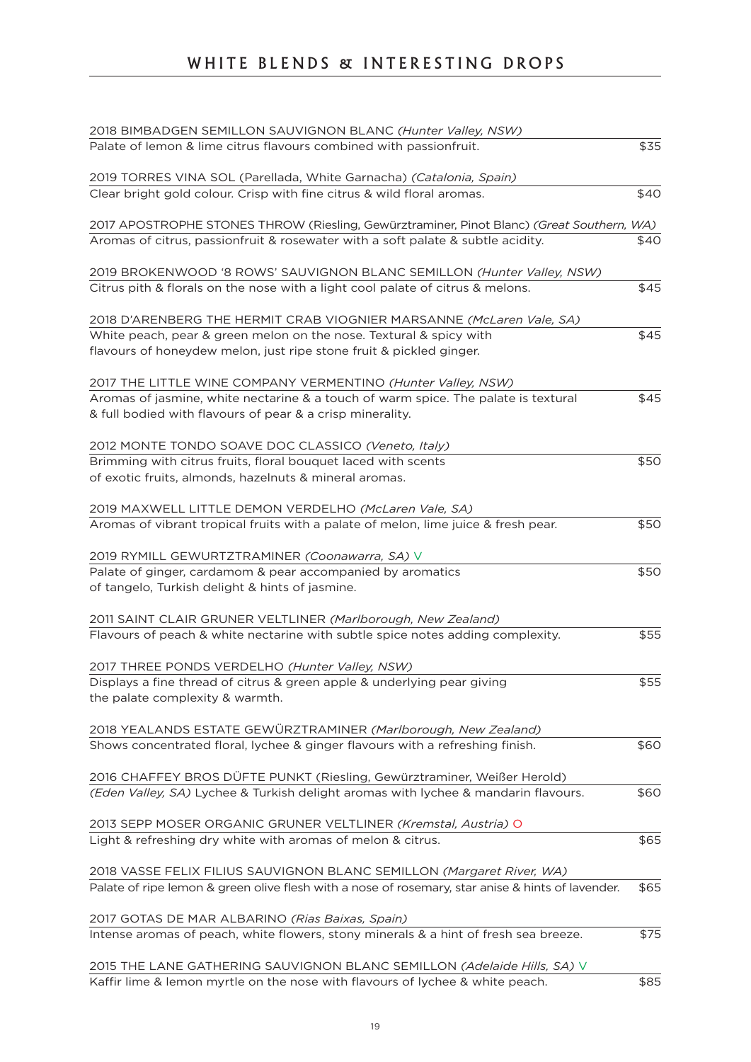# WHITE BLENDS & INTERESTING DROPS

| 2018 BIMBADGEN SEMILLON SAUVIGNON BLANC (Hunter Valley, NSW)                                                                                    |      |
|-------------------------------------------------------------------------------------------------------------------------------------------------|------|
| Palate of lemon & lime citrus flavours combined with passionfruit.                                                                              | \$35 |
| 2019 TORRES VINA SOL (Parellada, White Garnacha) (Catalonia, Spain)                                                                             |      |
| Clear bright gold colour. Crisp with fine citrus & wild floral aromas.                                                                          | \$40 |
| 2017 APOSTROPHE STONES THROW (Riesling, Gewürztraminer, Pinot Blanc) (Great Southern, WA)                                                       |      |
| Aromas of citrus, passionfruit & rosewater with a soft palate & subtle acidity.                                                                 | \$40 |
| 2019 BROKENWOOD '8 ROWS' SAUVIGNON BLANC SEMILLON (Hunter Valley, NSW)                                                                          |      |
| Citrus pith & florals on the nose with a light cool palate of citrus & melons.                                                                  | \$45 |
| 2018 D'ARENBERG THE HERMIT CRAB VIOGNIER MARSANNE (McLaren Vale, SA)                                                                            |      |
| White peach, pear & green melon on the nose. Textural & spicy with                                                                              | \$45 |
| flavours of honeydew melon, just ripe stone fruit & pickled ginger.                                                                             |      |
| 2017 THE LITTLE WINE COMPANY VERMENTINO (Hunter Valley, NSW)                                                                                    |      |
| Aromas of jasmine, white nectarine & a touch of warm spice. The palate is textural<br>& full bodied with flavours of pear & a crisp minerality. | \$45 |
|                                                                                                                                                 |      |
| 2012 MONTE TONDO SOAVE DOC CLASSICO (Veneto, Italy)<br>Brimming with citrus fruits, floral bouquet laced with scents                            | \$50 |
| of exotic fruits, almonds, hazelnuts & mineral aromas.                                                                                          |      |
| 2019 MAXWELL LITTLE DEMON VERDELHO (McLaren Vale, SA)                                                                                           |      |
| Aromas of vibrant tropical fruits with a palate of melon, lime juice & fresh pear.                                                              | \$50 |
| 2019 RYMILL GEWURTZTRAMINER (Coonawarra, SA) V                                                                                                  |      |
| Palate of ginger, cardamom & pear accompanied by aromatics                                                                                      | \$50 |
| of tangelo, Turkish delight & hints of jasmine.                                                                                                 |      |
| 2011 SAINT CLAIR GRUNER VELTLINER (Marlborough, New Zealand)                                                                                    |      |
| Flavours of peach & white nectarine with subtle spice notes adding complexity.                                                                  | \$55 |
| 2017 THREE PONDS VERDELHO (Hunter Valley, NSW)                                                                                                  |      |
| Displays a fine thread of citrus & green apple & underlying pear giving                                                                         | \$55 |
| the palate complexity & warmth.                                                                                                                 |      |
| 2018 YEALANDS ESTATE GEWÜRZTRAMINER (Marlborough, New Zealand)                                                                                  |      |
| Shows concentrated floral, lychee & ginger flavours with a refreshing finish.                                                                   | \$60 |
| 2016 CHAFFEY BROS DÜFTE PUNKT (Riesling, Gewürztraminer, Weißer Herold)                                                                         |      |
| (Eden Valley, SA) Lychee & Turkish delight aromas with lychee & mandarin flavours.                                                              | \$60 |
| 2013 SEPP MOSER ORGANIC GRUNER VELTLINER (Kremstal, Austria) O                                                                                  |      |
| Light & refreshing dry white with aromas of melon & citrus.                                                                                     | \$65 |
| 2018 VASSE FELIX FILIUS SAUVIGNON BLANC SEMILLON (Margaret River, WA)                                                                           |      |
| Palate of ripe lemon & green olive flesh with a nose of rosemary, star anise & hints of lavender.                                               | \$65 |
| 2017 GOTAS DE MAR ALBARINO (Rias Baixas, Spain)                                                                                                 |      |
| Intense aromas of peach, white flowers, stony minerals & a hint of fresh sea breeze.                                                            | \$75 |
| 2015 THE LANE GATHERING SAUVIGNON BLANC SEMILLON (Adelaide Hills, SA) V                                                                         |      |
| Kaffir lime & lemon myrtle on the nose with flavours of lychee & white peach.                                                                   | \$85 |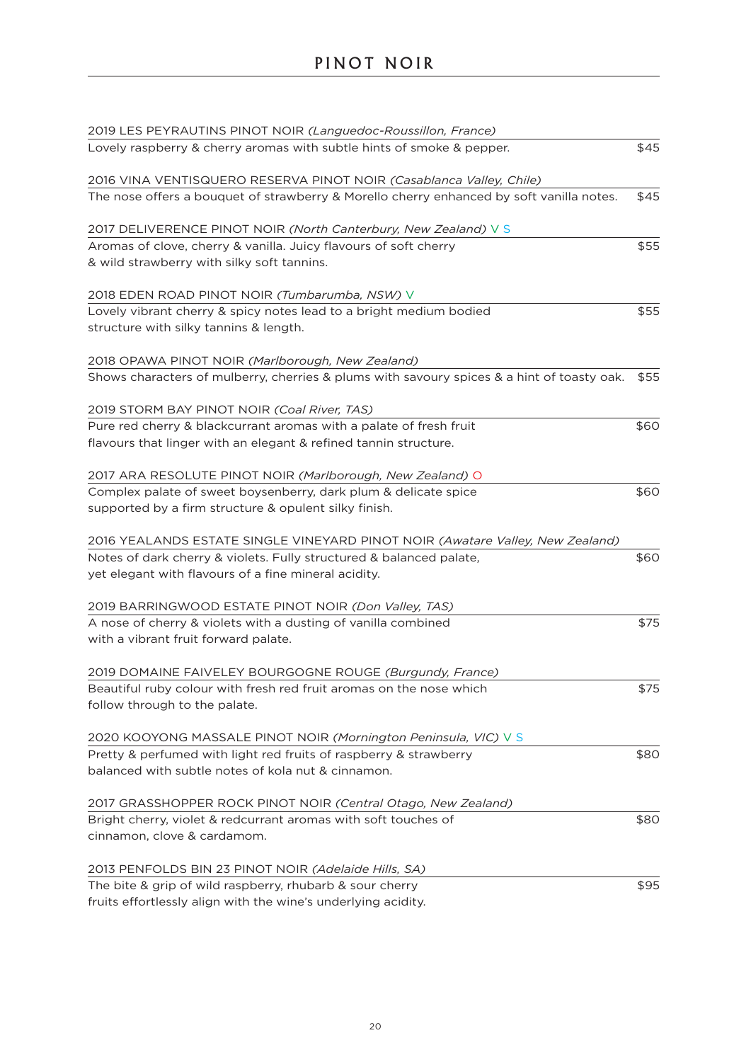| 2019 LES PEYRAUTINS PINOT NOIR (Languedoc-Roussillon, France)                                                             |      |
|---------------------------------------------------------------------------------------------------------------------------|------|
| Lovely raspberry & cherry aromas with subtle hints of smoke & pepper.                                                     | \$45 |
| 2016 VINA VENTISQUERO RESERVA PINOT NOIR (Casablanca Valley, Chile)                                                       |      |
| The nose offers a bouquet of strawberry & Morello cherry enhanced by soft vanilla notes.                                  | \$45 |
| 2017 DELIVERENCE PINOT NOIR (North Canterbury, New Zealand) V S                                                           |      |
| Aromas of clove, cherry & vanilla. Juicy flavours of soft cherry<br>& wild strawberry with silky soft tannins.            | \$55 |
| 2018 EDEN ROAD PINOT NOIR (Tumbarumba, NSW) V                                                                             |      |
| Lovely vibrant cherry & spicy notes lead to a bright medium bodied                                                        | \$55 |
| structure with silky tannins & length.                                                                                    |      |
| 2018 OPAWA PINOT NOIR (Marlborough, New Zealand)                                                                          |      |
| Shows characters of mulberry, cherries & plums with savoury spices & a hint of toasty oak.                                | \$55 |
| 2019 STORM BAY PINOT NOIR (Coal River, TAS)                                                                               |      |
| Pure red cherry & blackcurrant aromas with a palate of fresh fruit                                                        | \$60 |
| flavours that linger with an elegant & refined tannin structure.                                                          |      |
| 2017 ARA RESOLUTE PINOT NOIR (Marlborough, New Zealand) O                                                                 |      |
| Complex palate of sweet boysenberry, dark plum & delicate spice                                                           | \$60 |
| supported by a firm structure & opulent silky finish.                                                                     |      |
| 2016 YEALANDS ESTATE SINGLE VINEYARD PINOT NOIR (Awatare Valley, New Zealand)                                             |      |
| Notes of dark cherry & violets. Fully structured & balanced palate,                                                       | \$60 |
| yet elegant with flavours of a fine mineral acidity.                                                                      |      |
| 2019 BARRINGWOOD ESTATE PINOT NOIR (Don Valley, TAS)                                                                      |      |
| A nose of cherry & violets with a dusting of vanilla combined                                                             | \$75 |
| with a vibrant fruit forward palate.                                                                                      |      |
| 2019 DOMAINE FAIVELEY BOURGOGNE ROUGE (Burgundy, France)                                                                  |      |
| Beautiful ruby colour with fresh red fruit aromas on the nose which                                                       | \$75 |
| follow through to the palate.                                                                                             |      |
| 2020 KOOYONG MASSALE PINOT NOIR (Mornington Peninsula, VIC) V S                                                           |      |
| Pretty & perfumed with light red fruits of raspberry & strawberry                                                         | \$80 |
| balanced with subtle notes of kola nut & cinnamon.                                                                        |      |
| 2017 GRASSHOPPER ROCK PINOT NOIR (Central Otago, New Zealand)                                                             |      |
| Bright cherry, violet & redcurrant aromas with soft touches of<br>cinnamon, clove & cardamom.                             | \$80 |
|                                                                                                                           |      |
| 2013 PENFOLDS BIN 23 PINOT NOIR (Adelaide Hills, SA)                                                                      |      |
| The bite & grip of wild raspberry, rhubarb & sour cherry<br>fruits effortlessly align with the wine's underlying acidity. | \$95 |
|                                                                                                                           |      |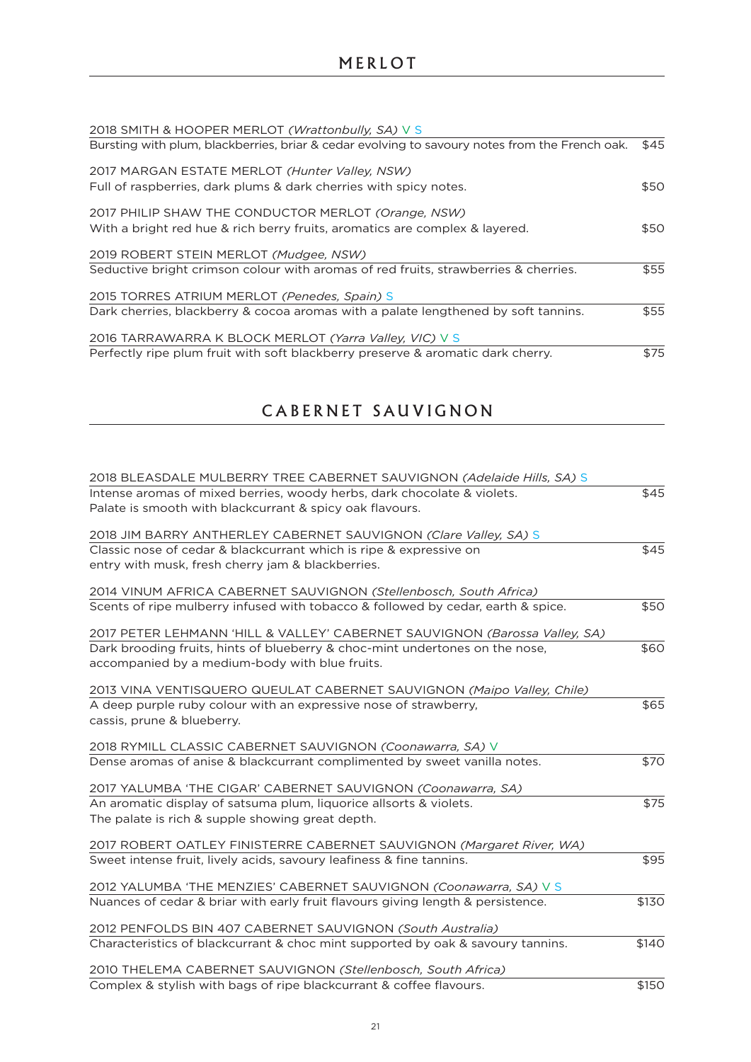| 2018 SMITH & HOOPER MERLOT (Wrattonbully, SA) V S                                              |      |
|------------------------------------------------------------------------------------------------|------|
| Bursting with plum, blackberries, briar & cedar evolving to savoury notes from the French oak. | \$45 |
| 2017 MARGAN ESTATE MERLOT (Hunter Valley, NSW)                                                 |      |
| Full of raspberries, dark plums & dark cherries with spicy notes.                              | \$50 |
| 2017 PHILIP SHAW THE CONDUCTOR MERLOT (Orange, NSW)                                            |      |
| With a bright red hue & rich berry fruits, aromatics are complex & layered.                    | \$50 |
| 2019 ROBERT STEIN MERLOT (Mudgee, NSW)                                                         |      |
| Seductive bright crimson colour with aromas of red fruits, strawberries & cherries.            | \$55 |
| 2015 TORRES ATRIUM MERLOT (Penedes, Spain) S                                                   |      |
| Dark cherries, blackberry & cocoa aromas with a palate lengthened by soft tannins.             | \$55 |
| 2016 TARRAWARRA K BLOCK MERLOT (Yarra Valley, VIC) V S                                         |      |
| Perfectly ripe plum fruit with soft blackberry preserve & aromatic dark cherry.                | \$75 |

# CABERNET SAUVIGNON

| 2018 BLEASDALE MULBERRY TREE CABERNET SAUVIGNON (Adelaide Hills, SA) S                                                              |       |
|-------------------------------------------------------------------------------------------------------------------------------------|-------|
| Intense aromas of mixed berries, woody herbs, dark chocolate & violets.<br>Palate is smooth with blackcurrant & spicy oak flavours. | \$45  |
| 2018 JIM BARRY ANTHERLEY CABERNET SAUVIGNON (Clare Valley, SA) S                                                                    |       |
| Classic nose of cedar & blackcurrant which is ripe & expressive on                                                                  | \$45  |
| entry with musk, fresh cherry jam & blackberries.                                                                                   |       |
| 2014 VINUM AFRICA CABERNET SAUVIGNON (Stellenbosch, South Africa)                                                                   |       |
| Scents of ripe mulberry infused with tobacco & followed by cedar, earth & spice.                                                    | \$50  |
| 2017 PETER LEHMANN 'HILL & VALLEY' CABERNET SAUVIGNON (Barossa Valley, SA)                                                          |       |
| Dark brooding fruits, hints of blueberry & choc-mint undertones on the nose,                                                        | \$60  |
| accompanied by a medium-body with blue fruits.                                                                                      |       |
| 2013 VINA VENTISQUERO QUEULAT CABERNET SAUVIGNON (Maipo Valley, Chile)                                                              |       |
| A deep purple ruby colour with an expressive nose of strawberry,                                                                    | \$65  |
| cassis, prune & blueberry.                                                                                                          |       |
| 2018 RYMILL CLASSIC CABERNET SAUVIGNON (Coonawarra, SA) V                                                                           |       |
| Dense aromas of anise & blackcurrant complimented by sweet vanilla notes.                                                           | \$70  |
| 2017 YALUMBA 'THE CIGAR' CABERNET SAUVIGNON (Coonawarra, SA)                                                                        |       |
| An aromatic display of satsuma plum, liquorice allsorts & violets.                                                                  | \$75  |
| The palate is rich & supple showing great depth.                                                                                    |       |
| 2017 ROBERT OATLEY FINISTERRE CABERNET SAUVIGNON (Margaret River, WA)                                                               |       |
| Sweet intense fruit, lively acids, savoury leafiness & fine tannins.                                                                | \$95  |
| 2012 YALUMBA 'THE MENZIES' CABERNET SAUVIGNON (Coonawarra, SA) V S                                                                  |       |
| Nuances of cedar & briar with early fruit flavours giving length & persistence.                                                     | \$130 |
| 2012 PENFOLDS BIN 407 CABERNET SAUVIGNON (South Australia)                                                                          |       |
| Characteristics of blackcurrant & choc mint supported by oak & savoury tannins.                                                     | \$140 |
| 2010 THELEMA CABERNET SAUVIGNON (Stellenbosch, South Africa)                                                                        |       |
| Complex & stylish with bags of ripe blackcurrant & coffee flavours.                                                                 | \$150 |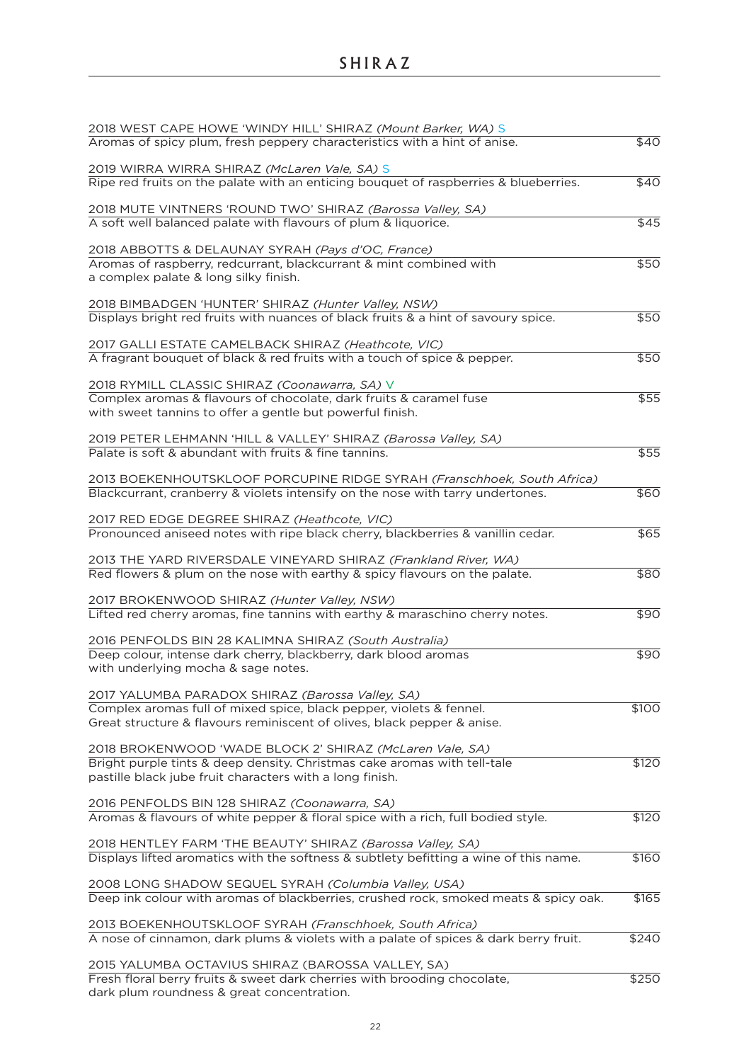| 2018 WEST CAPE HOWE 'WINDY HILL' SHIRAZ (Mount Barker, WA) S<br>Aromas of spicy plum, fresh peppery characteristics with a hint of anise. | \$40  |
|-------------------------------------------------------------------------------------------------------------------------------------------|-------|
| 2019 WIRRA WIRRA SHIRAZ (McLaren Vale, SA) S                                                                                              |       |
| Ripe red fruits on the palate with an enticing bouquet of raspberries & blueberries.                                                      | \$40  |
| 2018 MUTE VINTNERS 'ROUND TWO' SHIRAZ (Barossa Valley, SA)                                                                                |       |
| A soft well balanced palate with flavours of plum & liquorice.                                                                            | \$45  |
| 2018 ABBOTTS & DELAUNAY SYRAH (Pays d'OC, France)                                                                                         |       |
| Aromas of raspberry, redcurrant, blackcurrant & mint combined with<br>a complex palate & long silky finish.                               | \$50  |
| 2018 BIMBADGEN 'HUNTER' SHIRAZ (Hunter Valley, NSW)                                                                                       |       |
| Displays bright red fruits with nuances of black fruits & a hint of savoury spice.                                                        | \$50  |
| 2017 GALLI ESTATE CAMELBACK SHIRAZ (Heathcote, VIC)                                                                                       |       |
| A fragrant bouquet of black & red fruits with a touch of spice & pepper.                                                                  | \$50  |
| 2018 RYMILL CLASSIC SHIRAZ (Coonawarra, SA) V                                                                                             |       |
| Complex aromas & flavours of chocolate, dark fruits & caramel fuse                                                                        | \$55  |
| with sweet tannins to offer a gentle but powerful finish.                                                                                 |       |
| 2019 PETER LEHMANN 'HILL & VALLEY' SHIRAZ (Barossa Valley, SA)                                                                            |       |
| Palate is soft & abundant with fruits & fine tannins.                                                                                     | \$55  |
| 2013 BOEKENHOUTSKLOOF PORCUPINE RIDGE SYRAH (Franschhoek, South Africa)                                                                   |       |
| Blackcurrant, cranberry & violets intensify on the nose with tarry undertones.                                                            | \$60  |
| 2017 RED EDGE DEGREE SHIRAZ (Heathcote, VIC)                                                                                              |       |
| Pronounced aniseed notes with ripe black cherry, blackberries & vanillin cedar.                                                           | \$65  |
| 2013 THE YARD RIVERSDALE VINEYARD SHIRAZ (Frankland River, WA)                                                                            |       |
| Red flowers & plum on the nose with earthy & spicy flavours on the palate.                                                                | \$80  |
| 2017 BROKENWOOD SHIRAZ (Hunter Valley, NSW)                                                                                               |       |
| Lifted red cherry aromas, fine tannins with earthy & maraschino cherry notes.                                                             | \$90  |
| 2016 PENFOLDS BIN 28 KALIMNA SHIRAZ (South Australia)                                                                                     |       |
| Deep colour, intense dark cherry, blackberry, dark blood aromas                                                                           | \$90  |
| with underlying mocha & sage notes.                                                                                                       |       |
| 2017 YALUMBA PARADOX SHIRAZ (Barossa Valley, SA)                                                                                          |       |
| Complex aromas full of mixed spice, black pepper, violets & fennel.                                                                       | \$100 |
| Great structure & flavours reminiscent of olives, black pepper & anise.                                                                   |       |
| 2018 BROKENWOOD 'WADE BLOCK 2' SHIRAZ (McLaren Vale, SA)                                                                                  |       |
| Bright purple tints & deep density. Christmas cake aromas with tell-tale                                                                  | \$120 |
| pastille black jube fruit characters with a long finish.                                                                                  |       |
| 2016 PENFOLDS BIN 128 SHIRAZ (Coonawarra, SA)                                                                                             |       |
| Aromas & flavours of white pepper & floral spice with a rich, full bodied style.                                                          | \$120 |
| 2018 HENTLEY FARM 'THE BEAUTY' SHIRAZ (Barossa Valley, SA)                                                                                |       |
| Displays lifted aromatics with the softness & subtlety befitting a wine of this name.                                                     | \$160 |
| 2008 LONG SHADOW SEQUEL SYRAH (Columbia Valley, USA)                                                                                      |       |
| Deep ink colour with aromas of blackberries, crushed rock, smoked meats & spicy oak.                                                      | \$165 |
| 2013 BOEKENHOUTSKLOOF SYRAH (Franschhoek, South Africa)                                                                                   |       |
| A nose of cinnamon, dark plums & violets with a palate of spices & dark berry fruit.                                                      | \$240 |
| 2015 YALUMBA OCTAVIUS SHIRAZ (BAROSSA VALLEY, SA)                                                                                         |       |
| Fresh floral berry fruits & sweet dark cherries with brooding chocolate,                                                                  | \$250 |

dark plum roundness & great concentration.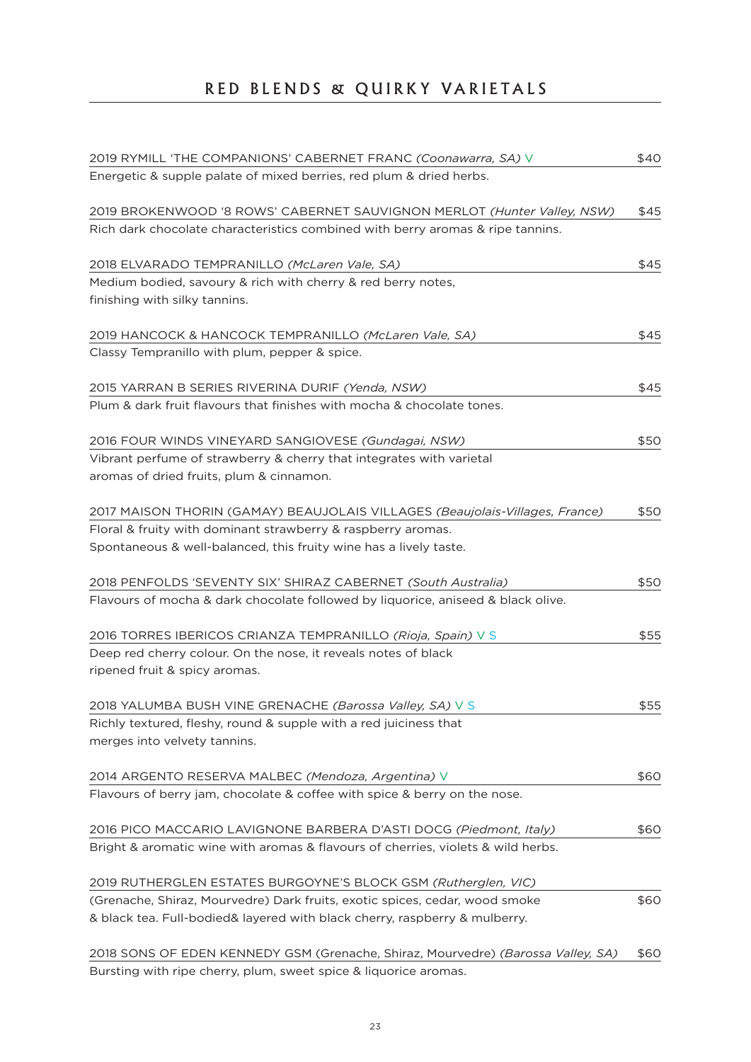# RED BLENDS & QUIRKY VARIETALS

| 2019 RYMILL 'THE COMPANIONS' CABERNET FRANC (Coonawarra, SA) V                   | \$40 |
|----------------------------------------------------------------------------------|------|
| Energetic & supple palate of mixed berries, red plum & dried herbs.              |      |
| 2019 BROKENWOOD '8 ROWS' CABERNET SAUVIGNON MERLOT (Hunter Valley, NSW)          | \$45 |
| Rich dark chocolate characteristics combined with berry aromas & ripe tannins.   |      |
|                                                                                  |      |
| 2018 ELVARADO TEMPRANILLO (McLaren Vale, SA)                                     | \$45 |
| Medium bodied, savoury & rich with cherry & red berry notes,                     |      |
| finishing with silky tannins.                                                    |      |
| 2019 HANCOCK & HANCOCK TEMPRANILLO (McLaren Vale, SA)                            | \$45 |
| Classy Tempranillo with plum, pepper & spice.                                    |      |
| 2015 YARRAN B SERIES RIVERINA DURIF (Yenda, NSW)                                 | \$45 |
| Plum & dark fruit flavours that finishes with mocha & chocolate tones.           |      |
| 2016 FOUR WINDS VINEYARD SANGIOVESE (Gundagai, NSW)                              | \$50 |
| Vibrant perfume of strawberry & cherry that integrates with varietal             |      |
| aromas of dried fruits, plum & cinnamon.                                         |      |
| 2017 MAISON THORIN (GAMAY) BEAUJOLAIS VILLAGES (Beaujolais-Villages, France)     | \$50 |
| Floral & fruity with dominant strawberry & raspberry aromas.                     |      |
| Spontaneous & well-balanced, this fruity wine has a lively taste.                |      |
|                                                                                  |      |
| 2018 PENFOLDS 'SEVENTY SIX' SHIRAZ CABERNET (South Australia)                    | \$50 |
| Flavours of mocha & dark chocolate followed by liquorice, aniseed & black olive. |      |
| 2016 TORRES IBERICOS CRIANZA TEMPRANILLO (Rioja, Spain) V S                      | \$55 |
| Deep red cherry colour. On the nose, it reveals notes of black                   |      |
| ripened fruit & spicy aromas.                                                    |      |
| 2018 YALUMBA BUSH VINE GRENACHE (Barossa Valley, SA) V S                         | \$55 |
| Richly textured, fleshy, round & supple with a red juiciness that                |      |
| merges into velvety tannins.                                                     |      |
| 2014 ARGENTO RESERVA MALBEC (Mendoza, Argentina) V                               | \$60 |
| Flavours of berry jam, chocolate & coffee with spice & berry on the nose.        |      |
|                                                                                  |      |
| 2016 PICO MACCARIO LAVIGNONE BARBERA D'ASTI DOCG (Piedmont, Italy)               | \$60 |
| Bright & aromatic wine with aromas & flavours of cherries, violets & wild herbs. |      |
| 2019 RUTHERGLEN ESTATES BURGOYNE'S BLOCK GSM (Rutherglen, VIC)                   |      |
| (Grenache, Shiraz, Mourvedre) Dark fruits, exotic spices, cedar, wood smoke      | \$60 |
| & black tea. Full-bodied& layered with black cherry, raspberry & mulberry.       |      |
|                                                                                  |      |
| 2018 SONS OF EDEN KENNEDY GSM (Grenache, Shiraz, Mourvedre) (Barossa Valley, SA) | \$60 |
| Bursting with ripe cherry, plum, sweet spice & liquorice aromas.                 |      |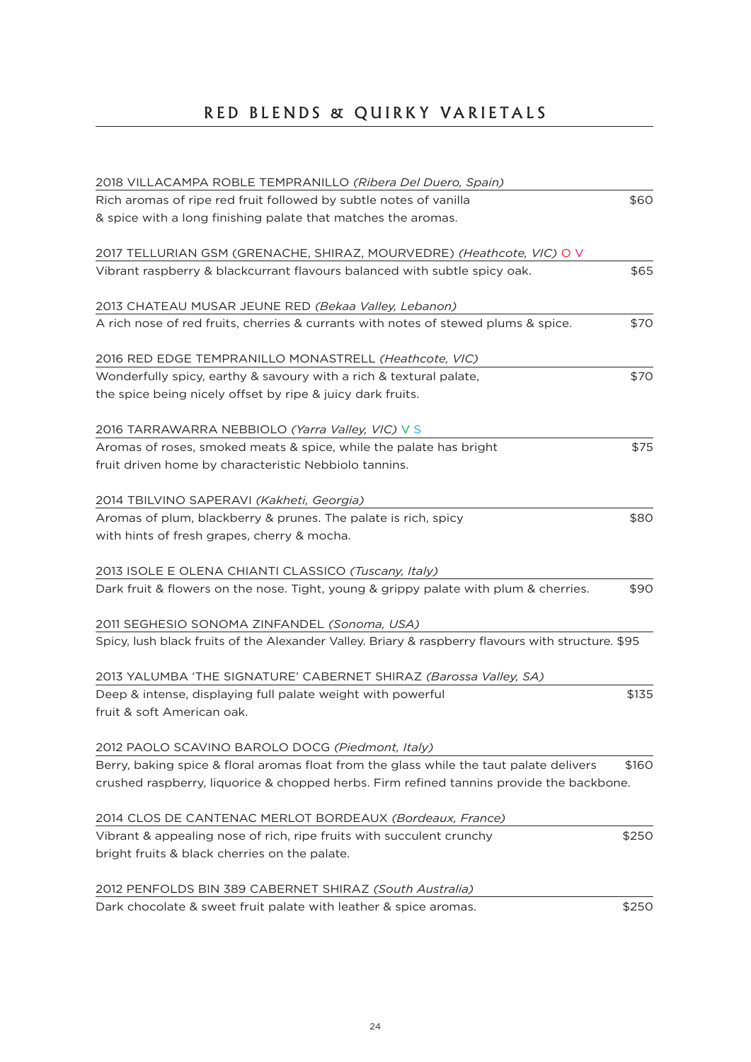| 2018 VILLACAMPA ROBLE TEMPRANILLO (Ribera Del Duero, Spain)                                        |       |
|----------------------------------------------------------------------------------------------------|-------|
| Rich aromas of ripe red fruit followed by subtle notes of vanilla                                  | \$60  |
| & spice with a long finishing palate that matches the aromas.                                      |       |
| 2017 TELLURIAN GSM (GRENACHE, SHIRAZ, MOURVEDRE) (Heathcote, VIC) O V                              |       |
| Vibrant raspberry & blackcurrant flavours balanced with subtle spicy oak.                          | \$65  |
| 2013 CHATEAU MUSAR JEUNE RED (Bekaa Valley, Lebanon)                                               |       |
| A rich nose of red fruits, cherries & currants with notes of stewed plums & spice.                 | \$70  |
| 2016 RED EDGE TEMPRANILLO MONASTRELL (Heathcote, VIC)                                              |       |
| Wonderfully spicy, earthy & savoury with a rich & textural palate,                                 | \$70  |
| the spice being nicely offset by ripe & juicy dark fruits.                                         |       |
| 2016 TARRAWARRA NEBBIOLO (Yarra Valley, VIC) V S                                                   |       |
| Aromas of roses, smoked meats & spice, while the palate has bright                                 | \$75  |
| fruit driven home by characteristic Nebbiolo tannins.                                              |       |
| 2014 TBILVINO SAPERAVI (Kakheti, Georgia)                                                          |       |
| Aromas of plum, blackberry & prunes. The palate is rich, spicy                                     | \$80  |
| with hints of fresh grapes, cherry & mocha.                                                        |       |
| 2013 ISOLE E OLENA CHIANTI CLASSICO (Tuscany, Italy)                                               |       |
| Dark fruit & flowers on the nose. Tight, young & grippy palate with plum & cherries.               | \$90  |
| 2011 SEGHESIO SONOMA ZINFANDEL (Sonoma, USA)                                                       |       |
| Spicy, lush black fruits of the Alexander Valley. Briary & raspberry flavours with structure. \$95 |       |
| 2013 YALUMBA 'THE SIGNATURE' CABERNET SHIRAZ (Barossa Valley, SA)                                  |       |
| Deep & intense, displaying full palate weight with powerful                                        | \$135 |
| fruit & soft American oak.                                                                         |       |
| 2012 PAOLO SCAVINO BAROLO DOCG (Piedmont, Italy)                                                   |       |
| Berry, baking spice & floral aromas float from the glass while the taut palate delivers            | \$160 |
| crushed raspberry, liquorice & chopped herbs. Firm refined tannins provide the backbone.           |       |
| 2014 CLOS DE CANTENAC MERLOT BORDEAUX (Bordeaux, France)                                           |       |
| Vibrant & appealing nose of rich, ripe fruits with succulent crunchy                               | \$250 |
| bright fruits & black cherries on the palate.                                                      |       |
| 2012 PENFOLDS BIN 389 CABERNET SHIRAZ (South Australia)                                            |       |
| Dark chocolate & sweet fruit palate with leather & spice aromas.                                   | \$250 |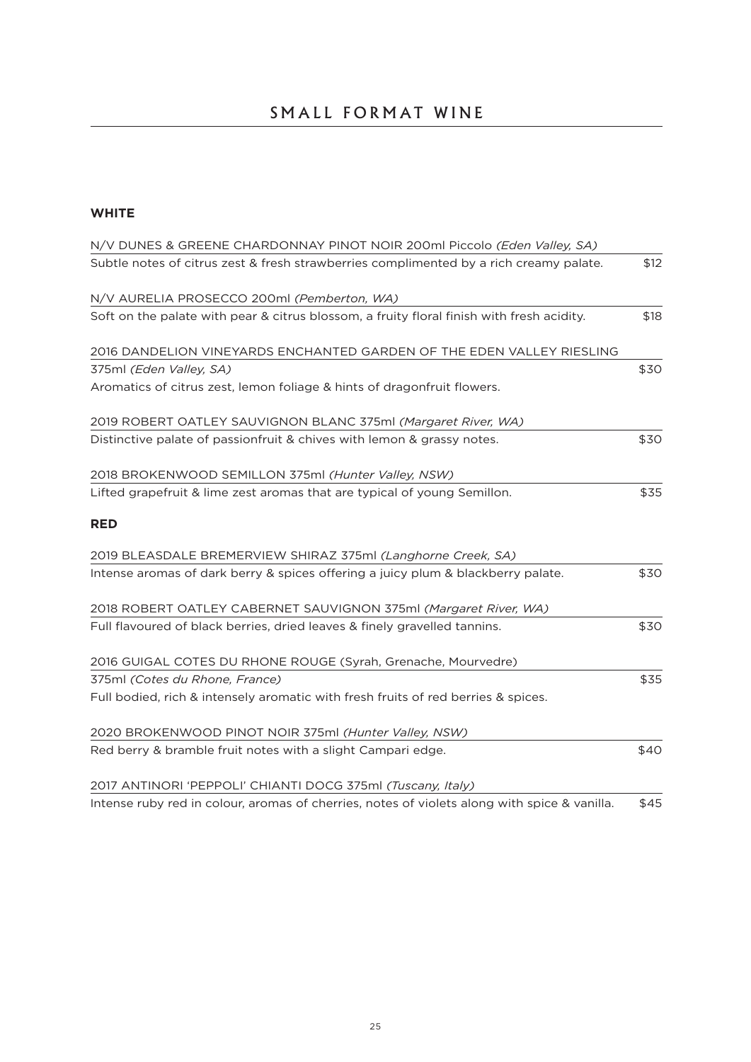# SMALL FORMAT WINE

#### **WHITE**

| N/V DUNES & GREENE CHARDONNAY PINOT NOIR 200ml Piccolo (Eden Valley, SA)                     |      |
|----------------------------------------------------------------------------------------------|------|
| Subtle notes of citrus zest & fresh strawberries complimented by a rich creamy palate.       | \$12 |
| N/V AURELIA PROSECCO 200ml (Pemberton, WA)                                                   |      |
| Soft on the palate with pear & citrus blossom, a fruity floral finish with fresh acidity.    | \$18 |
| 2016 DANDELION VINEYARDS ENCHANTED GARDEN OF THE EDEN VALLEY RIESLING                        |      |
| 375ml (Eden Valley, SA)                                                                      | \$30 |
| Aromatics of citrus zest, lemon foliage & hints of dragonfruit flowers.                      |      |
| 2019 ROBERT OATLEY SAUVIGNON BLANC 375ml (Margaret River, WA)                                |      |
| Distinctive palate of passionfruit & chives with lemon & grassy notes.                       | \$30 |
| 2018 BROKENWOOD SEMILLON 375ml (Hunter Valley, NSW)                                          |      |
| Lifted grapefruit & lime zest aromas that are typical of young Semillon.                     | \$35 |
| <b>RED</b>                                                                                   |      |
| 2019 BLEASDALE BREMERVIEW SHIRAZ 375ml (Langhorne Creek, SA)                                 |      |
| Intense aromas of dark berry & spices offering a juicy plum & blackberry palate.             | \$30 |
| 2018 ROBERT OATLEY CABERNET SAUVIGNON 375ml (Margaret River, WA)                             |      |
| Full flavoured of black berries, dried leaves & finely gravelled tannins.                    | \$30 |
| 2016 GUIGAL COTES DU RHONE ROUGE (Syrah, Grenache, Mourvedre)                                |      |
| 375ml (Cotes du Rhone, France)                                                               | \$35 |
| Full bodied, rich & intensely aromatic with fresh fruits of red berries & spices.            |      |
| 2020 BROKENWOOD PINOT NOIR 375ml (Hunter Valley, NSW)                                        |      |
| Red berry & bramble fruit notes with a slight Campari edge.                                  | \$40 |
| 2017 ANTINORI 'PEPPOLI' CHIANTI DOCG 375ml (Tuscany, Italy)                                  |      |
| Intense ruby red in colour, aromas of cherries, notes of violets along with spice & vanilla. | \$45 |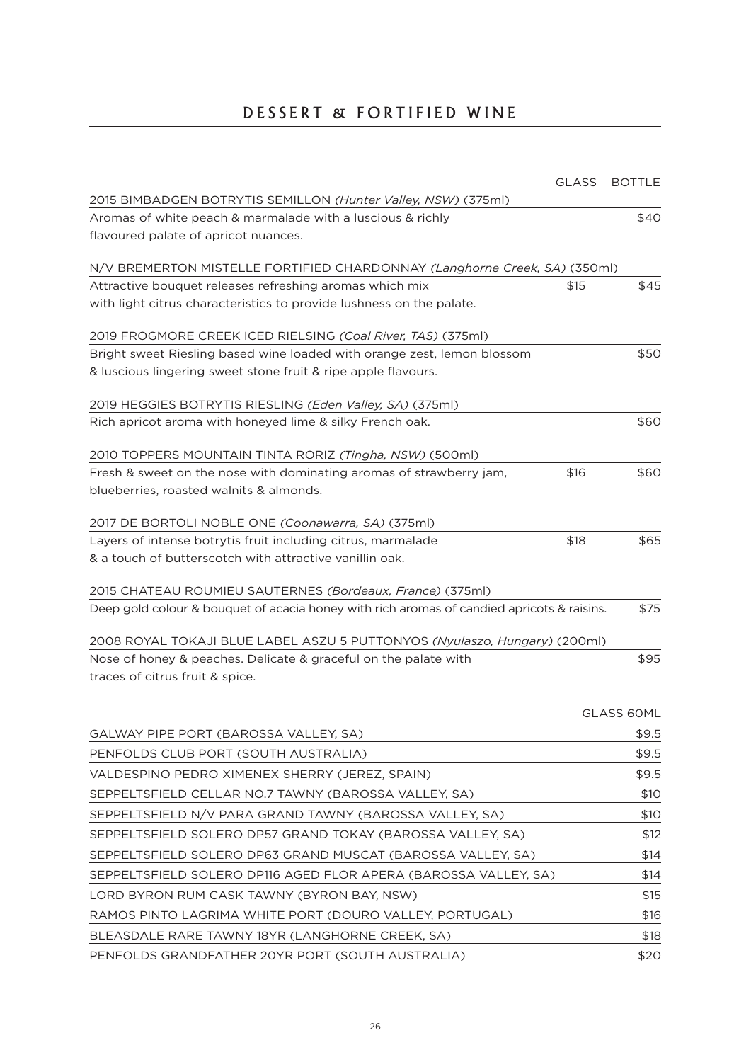# DESSERT & FORTIFIED WINE

|                                                                                            | <b>GLASS</b> | <b>BOTTLE</b>     |
|--------------------------------------------------------------------------------------------|--------------|-------------------|
| 2015 BIMBADGEN BOTRYTIS SEMILLON (Hunter Valley, NSW) (375ml)                              |              |                   |
| Aromas of white peach & marmalade with a luscious & richly                                 |              | \$40              |
| flavoured palate of apricot nuances.                                                       |              |                   |
| N/V BREMERTON MISTELLE FORTIFIED CHARDONNAY (Langhorne Creek, SA) (350ml)                  |              |                   |
| Attractive bouquet releases refreshing aromas which mix                                    | \$15         | \$45              |
| with light citrus characteristics to provide lushness on the palate.                       |              |                   |
| 2019 FROGMORE CREEK ICED RIELSING (Coal River, TAS) (375ml)                                |              |                   |
| Bright sweet Riesling based wine loaded with orange zest, lemon blossom                    |              | \$50              |
| & luscious lingering sweet stone fruit & ripe apple flavours.                              |              |                   |
| 2019 HEGGIES BOTRYTIS RIESLING (Eden Valley, SA) (375ml)                                   |              |                   |
| Rich apricot aroma with honeyed lime & silky French oak.                                   |              | \$60              |
| 2010 TOPPERS MOUNTAIN TINTA RORIZ (Tingha, NSW) (500ml)                                    |              |                   |
| Fresh & sweet on the nose with dominating aromas of strawberry jam,                        | \$16         | \$60              |
| blueberries, roasted walnits & almonds.                                                    |              |                   |
| 2017 DE BORTOLI NOBLE ONE (Coonawarra, SA) (375ml)                                         |              |                   |
| Layers of intense botrytis fruit including citrus, marmalade                               | \$18         | \$65              |
| & a touch of butterscotch with attractive vanillin oak.                                    |              |                   |
| 2015 CHATEAU ROUMIEU SAUTERNES (Bordeaux, France) (375ml)                                  |              |                   |
| Deep gold colour & bouquet of acacia honey with rich aromas of candied apricots & raisins. |              | \$75              |
| 2008 ROYAL TOKAJI BLUE LABEL ASZU 5 PUTTONYOS (Nyulaszo, Hungary) (200ml)                  |              |                   |
| Nose of honey & peaches. Delicate & graceful on the palate with                            |              | \$95              |
| traces of citrus fruit & spice.                                                            |              |                   |
|                                                                                            |              | <b>GLASS 60ML</b> |
| GALWAY PIPE PORT (BAROSSA VALLEY, SA)                                                      |              | \$9.5             |
| PENFOLDS CLUB PORT (SOUTH AUSTRALIA)                                                       |              | \$9.5             |
| VALDESPINO PEDRO XIMENEX SHERRY (JEREZ, SPAIN)                                             |              | \$9.5             |
| SEPPELTSFIELD CELLAR NO.7 TAWNY (BAROSSA VALLEY, SA)                                       |              | \$10              |
| SEPPELTSFIELD N/V PARA GRAND TAWNY (BAROSSA VALLEY, SA)                                    |              | \$10              |
| SEPPELTSFIELD SOLERO DP57 GRAND TOKAY (BAROSSA VALLEY, SA)                                 |              | \$12              |
| SEPPELTSFIELD SOLERO DP63 GRAND MUSCAT (BAROSSA VALLEY, SA)                                |              | \$14              |
| SEPPELTSFIELD SOLERO DP116 AGED FLOR APERA (BAROSSA VALLEY, SA)                            |              | \$14              |
| LORD BYRON RUM CASK TAWNY (BYRON BAY, NSW)                                                 |              | \$15              |
| RAMOS PINTO LAGRIMA WHITE PORT (DOURO VALLEY, PORTUGAL)                                    |              | \$16              |
| BLEASDALE RARE TAWNY 18YR (LANGHORNE CREEK, SA)                                            |              | \$18              |
| PENFOLDS GRANDFATHER 20YR PORT (SOUTH AUSTRALIA)                                           |              | \$20              |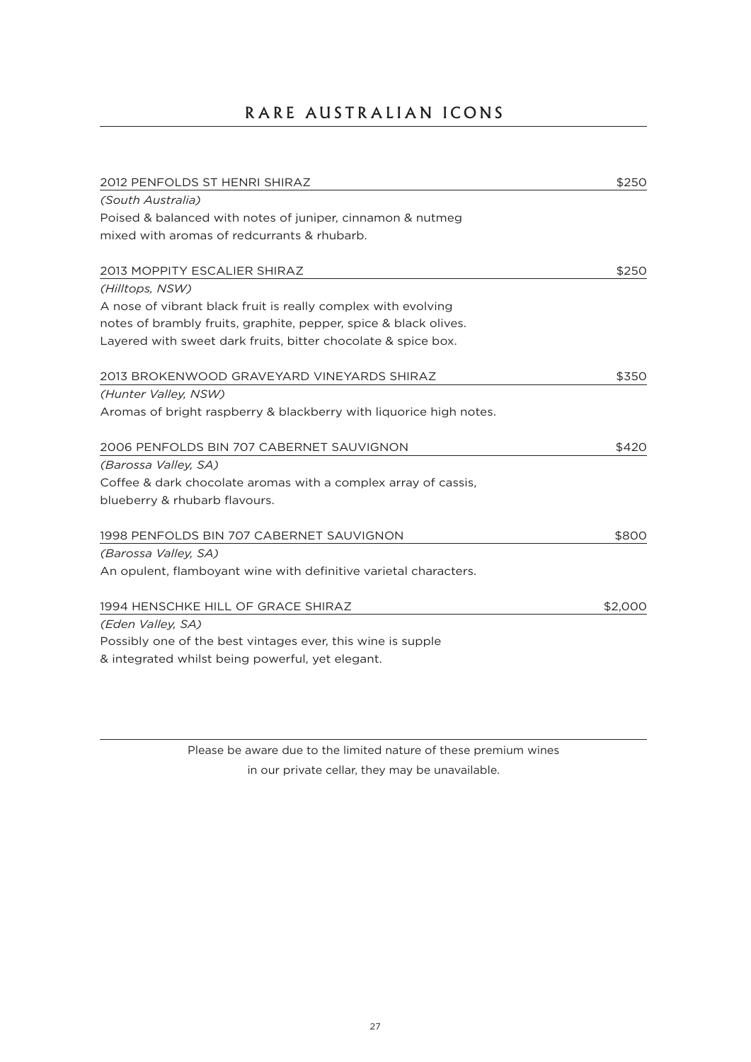# RARE AUSTRALIAN ICONS

| 2012 PENFOLDS ST HENRI SHIRAZ                                      | \$250   |
|--------------------------------------------------------------------|---------|
| (South Australia)                                                  |         |
| Poised & balanced with notes of juniper, cinnamon & nutmeg         |         |
| mixed with aromas of redcurrants & rhubarb.                        |         |
| 2013 MOPPITY ESCALIER SHIRAZ                                       | \$250   |
| (Hilltops, NSW)                                                    |         |
| A nose of vibrant black fruit is really complex with evolving      |         |
| notes of brambly fruits, graphite, pepper, spice & black olives.   |         |
| Layered with sweet dark fruits, bitter chocolate & spice box.      |         |
| 2013 BROKENWOOD GRAVEYARD VINEYARDS SHIRAZ                         | \$350   |
| (Hunter Valley, NSW)                                               |         |
| Aromas of bright raspberry & blackberry with liquorice high notes. |         |
| 2006 PENFOLDS BIN 707 CABERNET SAUVIGNON                           | \$420   |
| (Barossa Valley, SA)                                               |         |
| Coffee & dark chocolate aromas with a complex array of cassis,     |         |
| blueberry & rhubarb flavours.                                      |         |
| 1998 PENFOLDS BIN 707 CABERNET SAUVIGNON                           | \$800   |
| (Barossa Valley, SA)                                               |         |
| An opulent, flamboyant wine with definitive varietal characters.   |         |
| 1994 HENSCHKE HILL OF GRACE SHIRAZ                                 | \$2,000 |
| (Eden Valley, SA)                                                  |         |
| Possibly one of the best vintages ever, this wine is supple        |         |
| & integrated whilst being powerful, yet elegant.                   |         |

Please be aware due to the limited nature of these premium wines

in our private cellar, they may be unavailable.